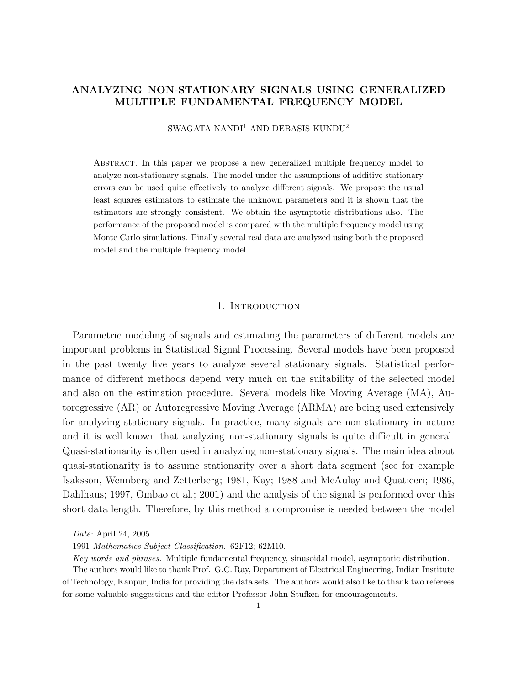# ANALYZING NON-STATIONARY SIGNALS USING GENERALIZED MULTIPLE FUNDAMENTAL FREQUENCY MODEL

SWAGATA NANDI<sup>1</sup> AND DEBASIS KUNDU<sup>2</sup>

Abstract. In this paper we propose a new generalized multiple frequency model to analyze non-stationary signals. The model under the assumptions of additive stationary errors can be used quite effectively to analyze different signals. We propose the usual least squares estimators to estimate the unknown parameters and it is shown that the estimators are strongly consistent. We obtain the asymptotic distributions also. The performance of the proposed model is compared with the multiple frequency model using Monte Carlo simulations. Finally several real data are analyzed using both the proposed model and the multiple frequency model.

## 1. INTRODUCTION

Parametric modeling of signals and estimating the parameters of different models are important problems in Statistical Signal Processing. Several models have been proposed in the past twenty five years to analyze several stationary signals. Statistical performance of different methods depend very much on the suitability of the selected model and also on the estimation procedure. Several models like Moving Average (MA), Autoregressive (AR) or Autoregressive Moving Average (ARMA) are being used extensively for analyzing stationary signals. In practice, many signals are non-stationary in nature and it is well known that analyzing non-stationary signals is quite difficult in general. Quasi-stationarity is often used in analyzing non-stationary signals. The main idea about quasi-stationarity is to assume stationarity over a short data segment (see for example Isaksson, Wennberg and Zetterberg; 1981, Kay; 1988 and McAulay and Quatieeri; 1986, Dahlhaus; 1997, Ombao et al.; 2001) and the analysis of the signal is performed over this short data length. Therefore, by this method a compromise is needed between the model

Date: April 24, 2005.

<sup>1991</sup> Mathematics Subject Classification. 62F12; 62M10.

Key words and phrases. Multiple fundamental frequency, sinusoidal model, asymptotic distribution.

The authors would like to thank Prof. G.C. Ray, Department of Electrical Engineering, Indian Institute of Technology, Kanpur, India for providing the data sets. The authors would also like to thank two referees for some valuable suggestions and the editor Professor John Stufken for encouragements.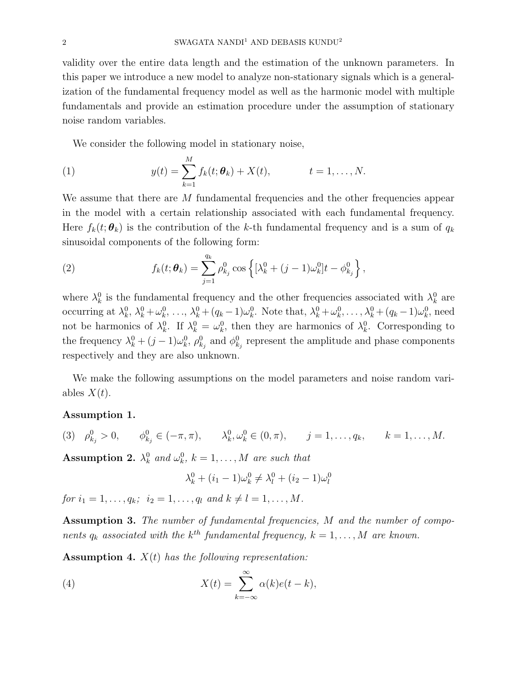validity over the entire data length and the estimation of the unknown parameters. In this paper we introduce a new model to analyze non-stationary signals which is a generalization of the fundamental frequency model as well as the harmonic model with multiple fundamentals and provide an estimation procedure under the assumption of stationary noise random variables.

We consider the following model in stationary noise,

(1) 
$$
y(t) = \sum_{k=1}^{M} f_k(t; \theta_k) + X(t), \qquad t = 1, ..., N.
$$

We assume that there are M fundamental frequencies and the other frequencies appear in the model with a certain relationship associated with each fundamental frequency. Here  $f_k(t; \theta_k)$  is the contribution of the k-th fundamental frequency and is a sum of  $q_k$ sinusoidal components of the following form:

(2) 
$$
f_k(t; \theta_k) = \sum_{j=1}^{q_k} \rho_{k_j}^0 \cos \left\{ [\lambda_k^0 + (j-1)\omega_k^0]t - \phi_{k_j}^0 \right\},
$$

where  $\lambda_k^0$  is the fundamental frequency and the other frequencies associated with  $\lambda_k^0$  are occurring at  $\lambda_k^0, \lambda_k^0 + \omega_k^0, \ldots, \lambda_k^0 + (q_k - 1)\omega_k^0$ . Note that,  $\lambda_k^0 + \omega_k^0, \ldots, \lambda_k^0 + (q_k - 1)\omega_k^0$ , need not be harmonics of  $\lambda_k^0$ . If  $\lambda_k^0 = \omega_k^0$ , then they are harmonics of  $\lambda_k^0$ . Corresponding to the frequency  $\lambda_k^0 + (j-1)\omega_k^0$ ,  $\rho_{k_j}^0$  and  $\phi_{k_j}^0$  represent the amplitude and phase components respectively and they are also unknown.

We make the following assumptions on the model parameters and noise random variables  $X(t)$ .

## Assumption 1.

(3)  $\rho_{k_j}^0 > 0$ ,  $\phi_{k_j}^0 \in (-\pi, \pi)$ ,  $\lambda_k^0, \omega_k^0 \in (0, \pi)$ ,  $j = 1, \ldots, q_k$ ,  $k = 1, \ldots, M$ .

Assumption 2.  $\lambda_k^0$  and  $\omega_k^0$ ,  $k = 1, ..., M$  are such that

$$
\lambda_k^0 + (i_1 - 1)\omega_k^0 \neq \lambda_l^0 + (i_2 - 1)\omega_l^0
$$

for  $i_1 = 1, \ldots, q_k; i_2 = 1, \ldots, q_l$  and  $k \neq l = 1, \ldots, M$ .

Assumption 3. The number of fundamental frequencies, M and the number of components  $q_k$  associated with the  $k^{th}$  fundamental frequency,  $k = 1, ..., M$  are known.

**Assumption 4.**  $X(t)$  has the following representation:

(4) 
$$
X(t) = \sum_{k=-\infty}^{\infty} \alpha(k)e(t-k),
$$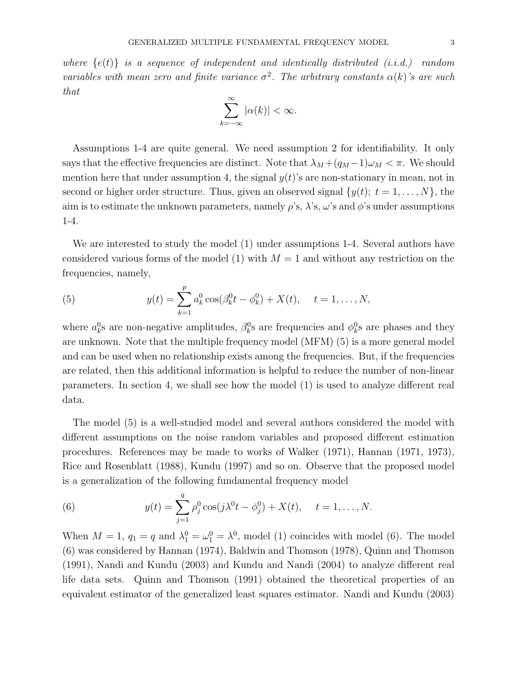where  $\{e(t)\}\$ is a sequence of independent and identically distributed (i.i.d.) random variables with mean zero and finite variance  $\sigma^2$ . The arbitrary constants  $\alpha(k)$ 's are such that

$$
\sum_{k=-\infty}^{\infty} |\alpha(k)| < \infty.
$$

Assumptions 1-4 are quite general. We need assumption 2 for identifiability. It only says that the effective frequencies are distinct. Note that  $\lambda_M + (q_M - 1)\omega_M < \pi$ . We should mention here that under assumption 4, the signal  $y(t)$ 's are non-stationary in mean, not in second or higher order structure. Thus, given an observed signal  $\{y(t); t = 1, \ldots, N\}$ , the aim is to estimate the unknown parameters, namely  $\rho$ 's,  $\lambda$ 's,  $\omega$ 's and  $\phi$ 's under assumptions 1-4.

We are interested to study the model (1) under assumptions 1-4. Several authors have considered various forms of the model (1) with  $M = 1$  and without any restriction on the frequencies, namely,

(5) 
$$
y(t) = \sum_{k=1}^{p} a_k^0 \cos(\beta_k^0 t - \phi_k^0) + X(t), \quad t = 1, ..., N,
$$

where  $a_k^0$ s are non-negative amplitudes,  $\beta_k^0$ s are frequencies and  $\phi_k^0$ s are phases and they are unknown. Note that the multiple frequency model (MFM) (5) is a more general model and can be used when no relationship exists among the frequencies. But, if the frequencies are related, then this additional information is helpful to reduce the number of non-linear parameters. In section 4, we shall see how the model (1) is used to analyze different real data.

The model (5) is a well-studied model and several authors considered the model with different assumptions on the noise random variables and proposed different estimation procedures. References may be made to works of Walker (1971), Hannan (1971, 1973), Rice and Rosenblatt (1988), Kundu (1997) and so on. Observe that the proposed model is a generalization of the following fundamental frequency model

(6) 
$$
y(t) = \sum_{j=1}^{q} \rho_j^0 \cos(j\lambda^0 t - \phi_j^0) + X(t), \quad t = 1, ..., N.
$$

When  $M = 1$ ,  $q_1 = q$  and  $\lambda_1^0 = \omega_1^0 = \lambda^0$ , model (1) coincides with model (6). The model (6) was considered by Hannan (1974), Baldwin and Thomson (1978), Quinn and Thomson (1991), Nandi and Kundu (2003) and Kundu and Nandi (2004) to analyze different real life data sets. Quinn and Thomson (1991) obtained the theoretical properties of an equivalent estimator of the generalized least squares estimator. Nandi and Kundu (2003)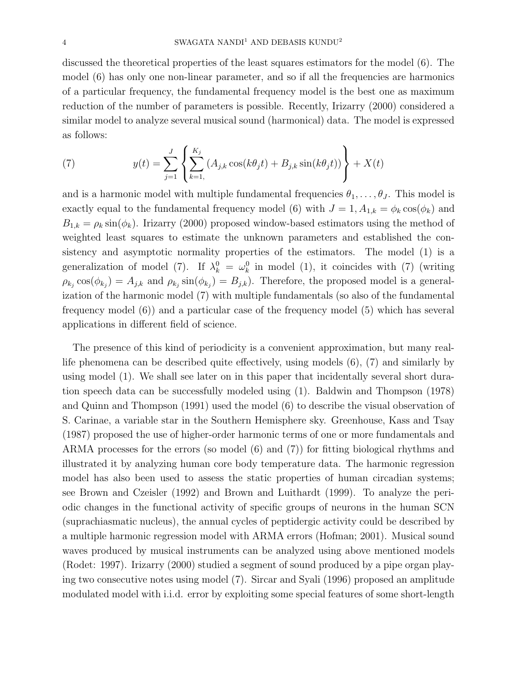discussed the theoretical properties of the least squares estimators for the model (6). The model (6) has only one non-linear parameter, and so if all the frequencies are harmonics of a particular frequency, the fundamental frequency model is the best one as maximum reduction of the number of parameters is possible. Recently, Irizarry (2000) considered a similar model to analyze several musical sound (harmonical) data. The model is expressed as follows:

(7) 
$$
y(t) = \sum_{j=1}^{J} \left\{ \sum_{k=1}^{K_j} (A_{j,k} \cos(k\theta_j t) + B_{j,k} \sin(k\theta_j t)) \right\} + X(t)
$$

and is a harmonic model with multiple fundamental frequencies  $\theta_1, \ldots, \theta_J$ . This model is exactly equal to the fundamental frequency model (6) with  $J = 1, A_{1,k} = \phi_k \cos(\phi_k)$  and  $B_{1,k} = \rho_k \sin(\phi_k)$ . Irizarry (2000) proposed window-based estimators using the method of weighted least squares to estimate the unknown parameters and established the consistency and asymptotic normality properties of the estimators. The model (1) is a generalization of model (7). If  $\lambda_k^0 = \omega_k^0$  in model (1), it coincides with (7) (writing  $\rho_{k_j} \cos(\phi_{k_j}) = A_{j,k}$  and  $\rho_{k_j} \sin(\phi_{k_j}) = B_{j,k}$ . Therefore, the proposed model is a generalization of the harmonic model (7) with multiple fundamentals (so also of the fundamental frequency model (6)) and a particular case of the frequency model (5) which has several applications in different field of science.

The presence of this kind of periodicity is a convenient approximation, but many reallife phenomena can be described quite effectively, using models (6), (7) and similarly by using model (1). We shall see later on in this paper that incidentally several short duration speech data can be successfully modeled using (1). Baldwin and Thompson (1978) and Quinn and Thompson (1991) used the model (6) to describe the visual observation of S. Carinae, a variable star in the Southern Hemisphere sky. Greenhouse, Kass and Tsay (1987) proposed the use of higher-order harmonic terms of one or more fundamentals and ARMA processes for the errors (so model (6) and (7)) for fitting biological rhythms and illustrated it by analyzing human core body temperature data. The harmonic regression model has also been used to assess the static properties of human circadian systems; see Brown and Czeisler (1992) and Brown and Luithardt (1999). To analyze the periodic changes in the functional activity of specific groups of neurons in the human SCN (suprachiasmatic nucleus), the annual cycles of peptidergic activity could be described by a multiple harmonic regression model with ARMA errors (Hofman; 2001). Musical sound waves produced by musical instruments can be analyzed using above mentioned models (Rodet: 1997). Irizarry (2000) studied a segment of sound produced by a pipe organ playing two consecutive notes using model (7). Sircar and Syali (1996) proposed an amplitude modulated model with i.i.d. error by exploiting some special features of some short-length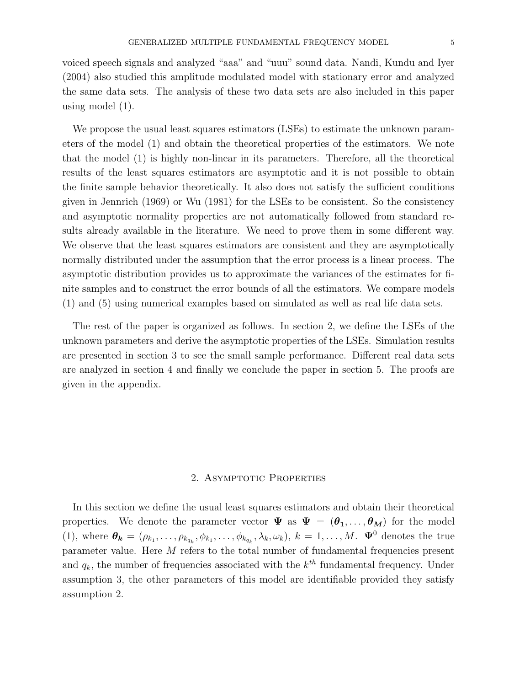voiced speech signals and analyzed "aaa" and "uuu" sound data. Nandi, Kundu and Iyer (2004) also studied this amplitude modulated model with stationary error and analyzed the same data sets. The analysis of these two data sets are also included in this paper using model (1).

We propose the usual least squares estimators (LSEs) to estimate the unknown parameters of the model (1) and obtain the theoretical properties of the estimators. We note that the model (1) is highly non-linear in its parameters. Therefore, all the theoretical results of the least squares estimators are asymptotic and it is not possible to obtain the finite sample behavior theoretically. It also does not satisfy the sufficient conditions given in Jennrich (1969) or Wu (1981) for the LSEs to be consistent. So the consistency and asymptotic normality properties are not automatically followed from standard results already available in the literature. We need to prove them in some different way. We observe that the least squares estimators are consistent and they are asymptotically normally distributed under the assumption that the error process is a linear process. The asymptotic distribution provides us to approximate the variances of the estimates for finite samples and to construct the error bounds of all the estimators. We compare models (1) and (5) using numerical examples based on simulated as well as real life data sets.

The rest of the paper is organized as follows. In section 2, we define the LSEs of the unknown parameters and derive the asymptotic properties of the LSEs. Simulation results are presented in section 3 to see the small sample performance. Different real data sets are analyzed in section 4 and finally we conclude the paper in section 5. The proofs are given in the appendix.

## 2. Asymptotic Properties

In this section we define the usual least squares estimators and obtain their theoretical properties. We denote the parameter vector  $\Psi$  as  $\Psi = (\theta_1, \dots, \theta_M)$  for the model (1), where  $\theta_k = (\rho_{k_1}, \ldots, \rho_{k_{q_k}}, \phi_{k_1}, \ldots, \phi_{k_{q_k}}, \lambda_k, \omega_k), k = 1, \ldots, M$ .  $\Psi^0$  denotes the true parameter value. Here M refers to the total number of fundamental frequencies present and  $q_k$ , the number of frequencies associated with the  $k^{th}$  fundamental frequency. Under assumption 3, the other parameters of this model are identifiable provided they satisfy assumption 2.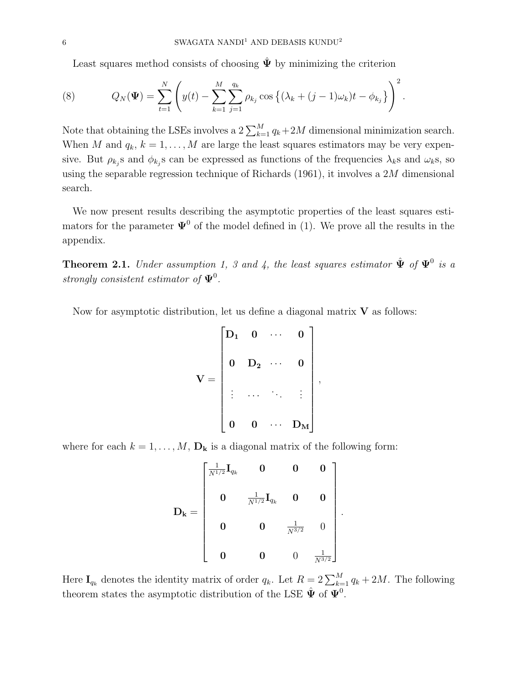Least squares method consists of choosing  $\hat{\Psi}$  by minimizing the criterion

(8) 
$$
Q_N(\Psi) = \sum_{t=1}^N \left( y(t) - \sum_{k=1}^M \sum_{j=1}^{q_k} \rho_{k_j} \cos \left\{ (\lambda_k + (j-1)\omega_k)t - \phi_{k_j} \right\} \right)^2.
$$

Note that obtaining the LSEs involves a  $2\sum_{k=1}^{M} q_k + 2M$  dimensional minimization search. When M and  $q_k$ ,  $k = 1, ..., M$  are large the least squares estimators may be very expensive. But  $\rho_{k_j}$ s and  $\phi_{k_j}$ s can be expressed as functions of the frequencies  $\lambda_k$ s and  $\omega_k$ s, so using the separable regression technique of Richards (1961), it involves a 2M dimensional search.

We now present results describing the asymptotic properties of the least squares estimators for the parameter  $\Psi^0$  of the model defined in (1). We prove all the results in the appendix.

**Theorem 2.1.** Under assumption 1, 3 and 4, the least squares estimator  $\hat{\Psi}$  of  $\Psi^0$  is a strongly consistent estimator of  $\Psi^0$ .

Now for asymptotic distribution, let us define a diagonal matrix  $V$  as follows:

$$
\mathbf{V} = \begin{bmatrix} \mathbf{D_1} & \mathbf{0} & \cdots & \mathbf{0} \\ & & \mathbf{D_2} & \cdots & \mathbf{0} \\ & & \vdots & \ddots & \ddots & \vdots \\ & & & \mathbf{0} & \mathbf{0} & \cdots & \mathbf{D_M} \end{bmatrix},
$$

where for each  $k = 1, ..., M$ ,  $\mathbf{D_k}$  is a diagonal matrix of the following form:

$$
\mathbf{D_k} = \begin{bmatrix} \frac{1}{N^{1/2}} \mathbf{I}_{q_k} & \mathbf{0} & \mathbf{0} & \mathbf{0} \\ & & & & \\ \mathbf{0} & \frac{1}{N^{1/2}} \mathbf{I}_{q_k} & \mathbf{0} & \mathbf{0} \\ & & & & \\ \mathbf{0} & \mathbf{0} & \frac{1}{N^{3/2}} & \mathbf{0} \\ & & & & \\ \mathbf{0} & \mathbf{0} & \mathbf{0} & \frac{1}{N^{3/2}} \end{bmatrix}
$$

.

Here  $I_{q_k}$  denotes the identity matrix of order  $q_k$ . Let  $R = 2 \sum_{k=1}^{M} q_k + 2M$ . The following theorem states the asymptotic distribution of the LSE  $\hat{\Psi}$  of  $\Psi^0$ .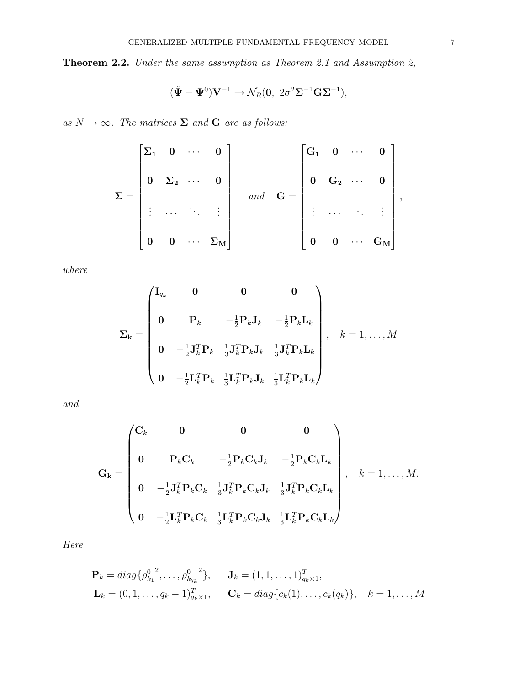Theorem 2.2. Under the same assumption as Theorem 2.1 and Assumption 2,

$$
(\hat{\Psi} - \Psi^0)\mathbf{V}^{-1} \to \mathcal{N}_R(\mathbf{0}, 2\sigma^2\mathbf{\Sigma}^{-1}\mathbf{G}\mathbf{\Sigma}^{-1}),
$$

as  $N \to \infty$ . The matrices  $\Sigma$  and **G** are as follows:

$$
\Sigma = \begin{bmatrix} \Sigma_1 & 0 & \cdots & 0 \\ & \Sigma_2 & \cdots & 0 \\ \vdots & \cdots & \ddots & \vdots \\ & & 0 & 0 & \cdots & \Sigma_M \end{bmatrix} \quad \text{and} \quad G = \begin{bmatrix} G_1 & 0 & \cdots & 0 \\ & \Sigma_2 & \cdots & 0 \\ & \vdots & \cdots & \ddots & \vdots \\ & & \vdots & \cdots & \ddots & \vdots \\ & & & 0 & 0 & \cdots & G_M \end{bmatrix},
$$

where

$$
\Sigma_{\mathbf{k}} = \begin{pmatrix} \mathbf{I}_{q_k} & \mathbf{0} & \mathbf{0} & \mathbf{0} \\ \mathbf{0} & \mathbf{P}_k & -\frac{1}{2}\mathbf{P}_k \mathbf{J}_k & -\frac{1}{2}\mathbf{P}_k \mathbf{L}_k \\ \mathbf{0} & -\frac{1}{2}\mathbf{J}_k^T \mathbf{P}_k & \frac{1}{3}\mathbf{J}_k^T \mathbf{P}_k \mathbf{J}_k & \frac{1}{3}\mathbf{J}_k^T \mathbf{P}_k \mathbf{L}_k \\ \mathbf{0} & -\frac{1}{2}\mathbf{L}_k^T \mathbf{P}_k & \frac{1}{3}\mathbf{L}_k^T \mathbf{P}_k \mathbf{J}_k & \frac{1}{3}\mathbf{L}_k^T \mathbf{P}_k \mathbf{L}_k \end{pmatrix}, \quad k = 1, \dots, M
$$

and

$$
\mathbf{G}_{\mathbf{k}} = \begin{pmatrix} \mathbf{C}_{k} & \mathbf{0} & \mathbf{0} & \mathbf{0} \\ & & & \mathbf{P}_{k}\mathbf{C}_{k} & -\frac{1}{2}\mathbf{P}_{k}\mathbf{C}_{k}\mathbf{J}_{k} & -\frac{1}{2}\mathbf{P}_{k}\mathbf{C}_{k}\mathbf{L}_{k} \\ & & & \mathbf{0} & -\frac{1}{2}\mathbf{J}_{k}^{T}\mathbf{P}_{k}\mathbf{C}_{k} & \frac{1}{3}\mathbf{J}_{k}^{T}\mathbf{P}_{k}\mathbf{C}_{k}\mathbf{J}_{k} & \frac{1}{3}\mathbf{J}_{k}^{T}\mathbf{P}_{k}\mathbf{C}_{k}\mathbf{L}_{k} \\ & & & \mathbf{0} & -\frac{1}{2}\mathbf{L}_{k}^{T}\mathbf{P}_{k}\mathbf{C}_{k} & \frac{1}{3}\mathbf{L}_{k}^{T}\mathbf{P}_{k}\mathbf{C}_{k}\mathbf{J}_{k} & \frac{1}{3}\mathbf{L}_{k}^{T}\mathbf{P}_{k}\mathbf{C}_{k}\mathbf{L}_{k} \end{pmatrix}, \quad k = 1, ..., M.
$$

Here

$$
\mathbf{P}_k = diag\{\rho_{k_1}^{0,2}, \dots, \rho_{k_{q_k}}^{0,2}\}, \quad \mathbf{J}_k = (1, 1, \dots, 1)_{q_k \times 1}^T,
$$
  

$$
\mathbf{L}_k = (0, 1, \dots, q_k - 1)_{q_k \times 1}^T, \quad \mathbf{C}_k = diag\{c_k(1), \dots, c_k(q_k)\}, \quad k = 1, \dots, M
$$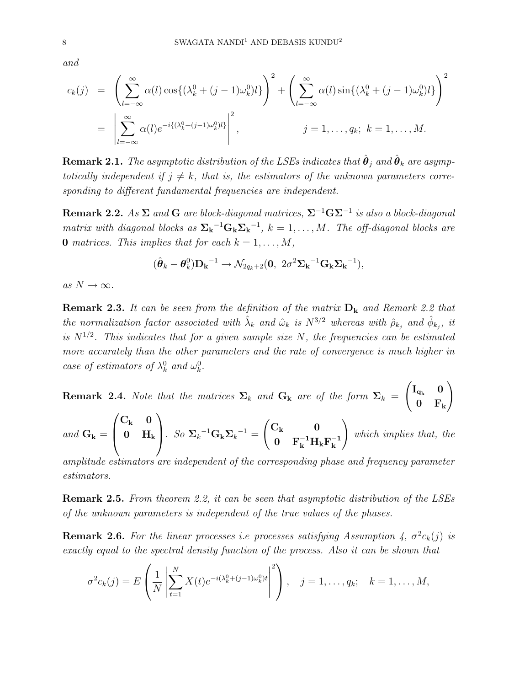and

$$
c_k(j) = \left(\sum_{l=-\infty}^{\infty} \alpha(l) \cos\{(\lambda_k^0 + (j-1)\omega_k^0)l\}\right)^2 + \left(\sum_{l=-\infty}^{\infty} \alpha(l) \sin\{(\lambda_k^0 + (j-1)\omega_k^0)l\}\right)^2
$$
  
= 
$$
\left|\sum_{l=-\infty}^{\infty} \alpha(l) e^{-i\{(\lambda_k^0 + (j-1)\omega_k^0)l\}}\right|^2, \qquad j = 1, ..., q_k; k = 1, ..., M.
$$

 ${\bf Remark~2.1.}$  The asymptotic distribution of the LSEs indicates that  $\hat{\bm{\theta}}_j$  and  $\hat{\bm{\theta}}_k$  are asymptotically independent if  $j \neq k$ , that is, the estimators of the unknown parameters corresponding to different fundamental frequencies are independent.

**Remark 2.2.** As  $\Sigma$  and G are block-diagonal matrices,  $\Sigma^{-1}$ G $\Sigma^{-1}$  is also a block-diagonal matrix with diagonal blocks as  $\Sigma_k^{-1} G_k \Sigma_k^{-1}$ ,  $k = 1, ..., M$ . The off-diagonal blocks are **0** matrices. This implies that for each  $k = 1, \ldots, M$ ,

$$
(\hat{\boldsymbol{\theta}}_k - \boldsymbol{\theta}_k^0)\mathbf{D_k}^{-1} \rightarrow \mathcal{N}_{2q_k+2}(\mathbf{0}, 2\sigma^2 \mathbf{\Sigma_k}^{-1} \mathbf{G_k} \mathbf{\Sigma_k}^{-1}),
$$

as  $N \to \infty$ .

**Remark 2.3.** It can be seen from the definition of the matrix  $D_k$  and Remark 2.2 that the normalization factor associated with  $\hat{\lambda}_k$  and  $\hat{\omega}_k$  is  $N^{3/2}$  whereas with  $\hat{\rho}_{k_j}$  and  $\hat{\phi}_{k_j}$ , it is  $N^{1/2}$ . This indicates that for a given sample size N, the frequencies can be estimated more accurately than the other parameters and the rate of convergence is much higher in case of estimators of  $\lambda_k^0$  and  $\omega_k^0$ .

**Remark 2.4.** Note that the matrices  $\Sigma_k$  and  $\mathbf{G_k}$  are of the form  $\Sigma_k =$  $\begin{pmatrix} \mathrm{I}_{\mathrm{q}_{k}} & 0 \end{pmatrix}$  $0 \t F_k$  $\setminus$ 

and  $\mathbf{G}_{\mathbf{k}} =$  $\sqrt{ }$  $\left\lfloor \right\rfloor$  $\mathrm{C_{k}}=0$  $0\quad \rm H_k$  $\setminus$  $\int \cdot S \, \delta \, \Sigma_k^{-1} \mathbf{G_k} \Sigma_k^{-1} =$  $\int C_{\mathbf{k}}$  0  $0 \t F_{\bf k}^{-1} H_{\bf k} F_{\bf k}^{-1}$ k  $\setminus$ which implies that, the

amplitude estimators are independent of the corresponding phase and frequency parameter estimators.

Remark 2.5. From theorem 2.2, it can be seen that asymptotic distribution of the LSEs of the unknown parameters is independent of the true values of the phases.

**Remark 2.6.** For the linear processes i.e processes satisfying Assumption 4,  $\sigma^2 c_k(j)$  is exactly equal to the spectral density function of the process. Also it can be shown that

$$
\sigma^{2}c_{k}(j) = E\left(\frac{1}{N}\left|\sum_{t=1}^{N} X(t)e^{-i(\lambda_{k}^{0}+(j-1)\omega_{k}^{0})t}\right|^{2}\right), \quad j = 1, \ldots, q_{k}; \quad k = 1, \ldots, M,
$$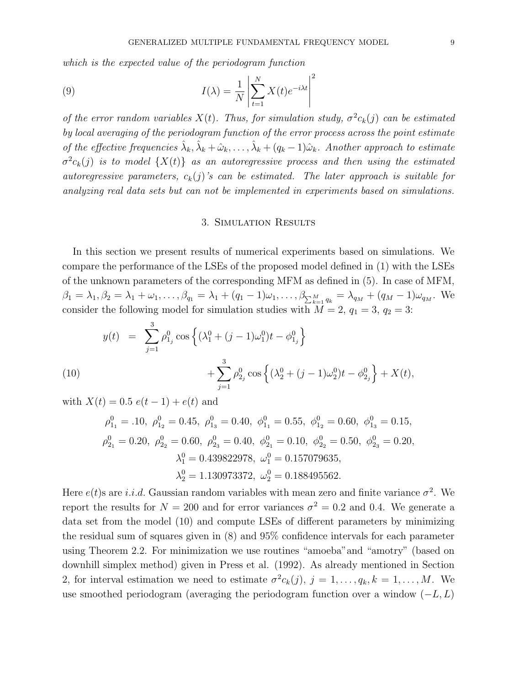which is the expected value of the periodogram function

(9) 
$$
I(\lambda) = \frac{1}{N} \left| \sum_{t=1}^{N} X(t) e^{-i\lambda t} \right|^2
$$

of the error random variables  $X(t)$ . Thus, for simulation study,  $\sigma^2 c_k(j)$  can be estimated by local averaging of the periodogram function of the error process across the point estimate of the effective frequencies  $\hat{\lambda}_k, \hat{\lambda}_k + \hat{\omega}_k, \ldots, \hat{\lambda}_k + (q_k - 1)\hat{\omega}_k$ . Another approach to estimate  $\sigma^2 c_k(j)$  is to model  $\{X(t)\}$  as an autoregressive process and then using the estimated autoregressive parameters,  $c_k(j)$ 's can be estimated. The later approach is suitable for analyzing real data sets but can not be implemented in experiments based on simulations.

#### 3. Simulation Results

In this section we present results of numerical experiments based on simulations. We compare the performance of the LSEs of the proposed model defined in (1) with the LSEs of the unknown parameters of the corresponding MFM as defined in (5). In case of MFM,  $\beta_1 = \lambda_1, \beta_2 = \lambda_1 + \omega_1, \ldots, \beta_{q_1} = \lambda_1 + (q_1 - 1)\omega_1, \ldots, \beta_{\sum_{k=1}^{M} q_k} = \lambda_{q_M} + (q_M - 1)\omega_{q_M}$ . We consider the following model for simulation studies with  $M = 2$ ,  $q_1 = 3$ ,  $q_2 = 3$ :

(10)  
\n
$$
y(t) = \sum_{j=1}^{3} \rho_{1_j}^0 \cos \left\{ (\lambda_1^0 + (j-1)\omega_1^0)t - \phi_{1_j}^0 \right\} + \sum_{j=1}^{3} \rho_{2_j}^0 \cos \left\{ (\lambda_2^0 + (j-1)\omega_2^0)t - \phi_{2_j}^0 \right\} + X(t),
$$

with  $X(t) = 0.5 e(t - 1) + e(t)$  and

$$
\rho_{1_1}^0 = .10, \ \rho_{1_2}^0 = 0.45, \ \rho_{1_3}^0 = 0.40, \ \phi_{1_1}^0 = 0.55, \ \phi_{1_2}^0 = 0.60, \ \phi_{1_3}^0 = 0.15, \n\rho_{2_1}^0 = 0.20, \ \rho_{2_2}^0 = 0.60, \ \rho_{2_3}^0 = 0.40, \ \phi_{2_1}^0 = 0.10, \ \phi_{2_2}^0 = 0.50, \ \phi_{2_3}^0 = 0.20, \n\lambda_1^0 = 0.439822978, \ \omega_1^0 = 0.157079635, \n\lambda_2^0 = 1.130973372, \ \omega_2^0 = 0.188495562.
$$

Here  $e(t)$ s are *i.i.d.* Gaussian random variables with mean zero and finite variance  $\sigma^2$ . We report the results for  $N = 200$  and for error variances  $\sigma^2 = 0.2$  and 0.4. We generate a data set from the model (10) and compute LSEs of different parameters by minimizing the residual sum of squares given in (8) and 95% confidence intervals for each parameter using Theorem 2.2. For minimization we use routines "amoeba"and "amotry" (based on downhill simplex method) given in Press et al. (1992). As already mentioned in Section 2, for interval estimation we need to estimate  $\sigma^2 c_k(j)$ ,  $j = 1, \ldots, q_k, k = 1, \ldots, M$ . We use smoothed periodogram (averaging the periodogram function over a window  $(-L, L)$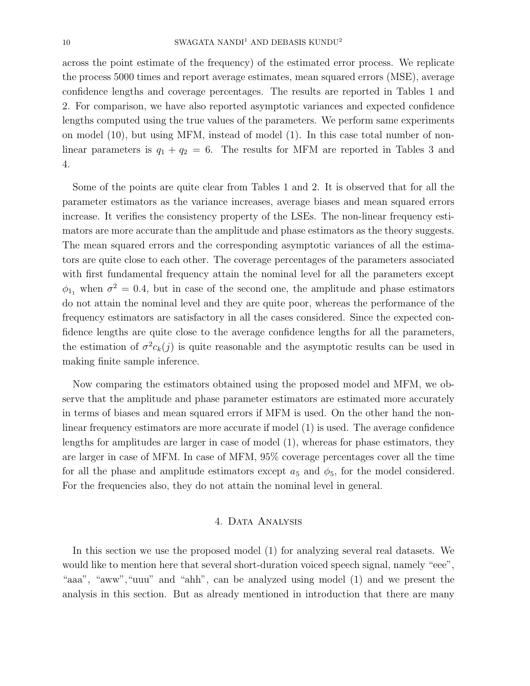across the point estimate of the frequency) of the estimated error process. We replicate the process 5000 times and report average estimates, mean squared errors (MSE), average confidence lengths and coverage percentages. The results are reported in Tables 1 and 2. For comparison, we have also reported asymptotic variances and expected confidence lengths computed using the true values of the parameters. We perform same experiments on model (10), but using MFM, instead of model (1). In this case total number of nonlinear parameters is  $q_1 + q_2 = 6$ . The results for MFM are reported in Tables 3 and 4.

Some of the points are quite clear from Tables 1 and 2. It is observed that for all the parameter estimators as the variance increases, average biases and mean squared errors increase. It verifies the consistency property of the LSEs. The non-linear frequency estimators are more accurate than the amplitude and phase estimators as the theory suggests. The mean squared errors and the corresponding asymptotic variances of all the estimators are quite close to each other. The coverage percentages of the parameters associated with first fundamental frequency attain the nominal level for all the parameters except  $\phi_{11}$  when  $\sigma^2 = 0.4$ , but in case of the second one, the amplitude and phase estimators do not attain the nominal level and they are quite poor, whereas the performance of the frequency estimators are satisfactory in all the cases considered. Since the expected confidence lengths are quite close to the average confidence lengths for all the parameters, the estimation of  $\sigma^2 c_k(j)$  is quite reasonable and the asymptotic results can be used in making finite sample inference.

Now comparing the estimators obtained using the proposed model and MFM, we observe that the amplitude and phase parameter estimators are estimated more accurately in terms of biases and mean squared errors if MFM is used. On the other hand the nonlinear frequency estimators are more accurate if model (1) is used. The average confidence lengths for amplitudes are larger in case of model (1), whereas for phase estimators, they are larger in case of MFM. In case of MFM, 95% coverage percentages cover all the time for all the phase and amplitude estimators except  $a_5$  and  $\phi_5$ , for the model considered. For the frequencies also, they do not attain the nominal level in general.

## 4. Data Analysis

In this section we use the proposed model (1) for analyzing several real datasets. We would like to mention here that several short-duration voiced speech signal, namely "eee", "aaa", "aww","uuu" and "ahh", can be analyzed using model (1) and we present the analysis in this section. But as already mentioned in introduction that there are many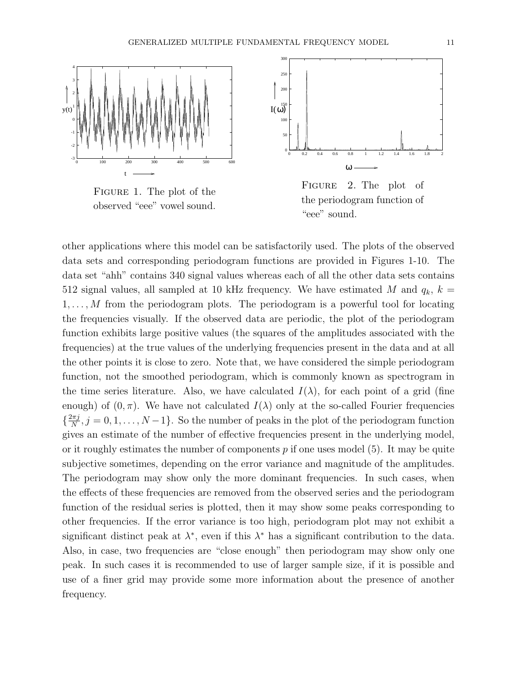

Figure 1. The plot of the observed "eee" vowel sound.



Figure 2. The plot of the periodogram function of "eee" sound.

other applications where this model can be satisfactorily used. The plots of the observed data sets and corresponding periodogram functions are provided in Figures 1-10. The data set "ahh" contains 340 signal values whereas each of all the other data sets contains 512 signal values, all sampled at 10 kHz frequency. We have estimated M and  $q_k$ ,  $k =$  $1, \ldots, M$  from the periodogram plots. The periodogram is a powerful tool for locating the frequencies visually. If the observed data are periodic, the plot of the periodogram function exhibits large positive values (the squares of the amplitudes associated with the frequencies) at the true values of the underlying frequencies present in the data and at all the other points it is close to zero. Note that, we have considered the simple periodogram function, not the smoothed periodogram, which is commonly known as spectrogram in the time series literature. Also, we have calculated  $I(\lambda)$ , for each point of a grid (fine enough) of  $(0, \pi)$ . We have not calculated  $I(\lambda)$  only at the so-called Fourier frequencies  $\left\{\frac{2\pi j}{N}\right\}$  $\frac{\partial \pi j}{N}, j = 0, 1, \ldots, N-1$ . So the number of peaks in the plot of the periodogram function gives an estimate of the number of effective frequencies present in the underlying model, or it roughly estimates the number of components  $p$  if one uses model (5). It may be quite subjective sometimes, depending on the error variance and magnitude of the amplitudes. The periodogram may show only the more dominant frequencies. In such cases, when the effects of these frequencies are removed from the observed series and the periodogram function of the residual series is plotted, then it may show some peaks corresponding to other frequencies. If the error variance is too high, periodogram plot may not exhibit a significant distinct peak at  $\lambda^*$ , even if this  $\lambda^*$  has a significant contribution to the data. Also, in case, two frequencies are "close enough" then periodogram may show only one peak. In such cases it is recommended to use of larger sample size, if it is possible and use of a finer grid may provide some more information about the presence of another frequency.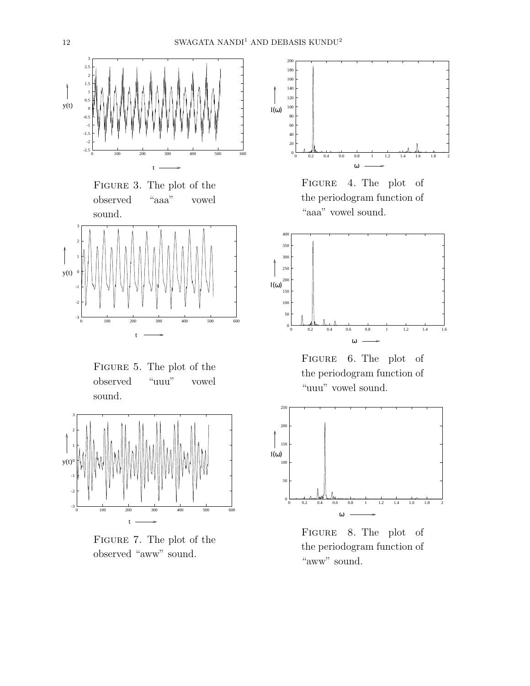





Figure 5. The plot of the observed "uuu" vowel sound.



Figure 7. The plot of the observed "aww" sound.



Figure 4. The plot of the periodogram function of "aaa" vowel sound.



Figure 6. The plot of the periodogram function of "uuu" vowel sound.



Figure 8. The plot of the periodogram function of "aww" sound.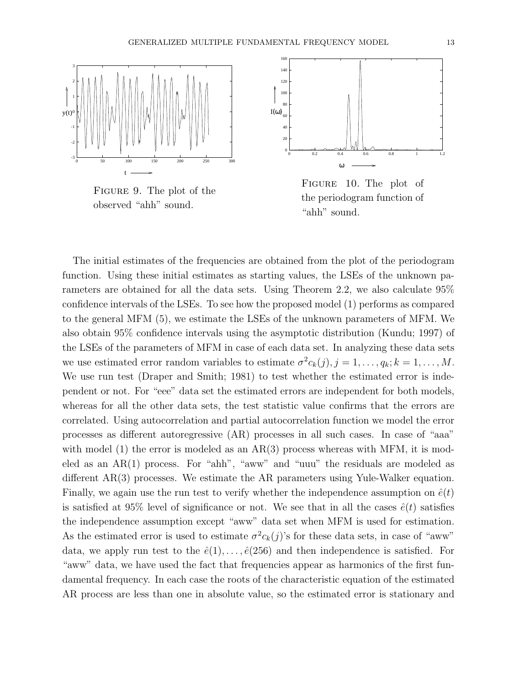

Figure 9. The plot of the observed "ahh" sound.



Figure 10. The plot of the periodogram function of "ahh" sound.

The initial estimates of the frequencies are obtained from the plot of the periodogram function. Using these initial estimates as starting values, the LSEs of the unknown parameters are obtained for all the data sets. Using Theorem 2.2, we also calculate 95% confidence intervals of the LSEs. To see how the proposed model (1) performs as compared to the general MFM (5), we estimate the LSEs of the unknown parameters of MFM. We also obtain 95% confidence intervals using the asymptotic distribution (Kundu; 1997) of the LSEs of the parameters of MFM in case of each data set. In analyzing these data sets we use estimated error random variables to estimate  $\sigma^2 c_k(j), j = 1, \ldots, q_k; k = 1, \ldots, M$ . We use run test (Draper and Smith; 1981) to test whether the estimated error is independent or not. For "eee" data set the estimated errors are independent for both models, whereas for all the other data sets, the test statistic value confirms that the errors are correlated. Using autocorrelation and partial autocorrelation function we model the error processes as different autoregressive (AR) processes in all such cases. In case of "aaa" with model  $(1)$  the error is modeled as an AR $(3)$  process whereas with MFM, it is modeled as an AR(1) process. For "ahh", "aww" and "uuu" the residuals are modeled as different AR(3) processes. We estimate the AR parameters using Yule-Walker equation. Finally, we again use the run test to verify whether the independence assumption on  $\hat{e}(t)$ is satisfied at 95% level of significance or not. We see that in all the cases  $\hat{e}(t)$  satisfies the independence assumption except "aww" data set when MFM is used for estimation. As the estimated error is used to estimate  $\sigma^2 c_k(j)$ 's for these data sets, in case of "aww" data, we apply run test to the  $\hat{e}(1), \ldots, \hat{e}(256)$  and then independence is satisfied. For "aww" data, we have used the fact that frequencies appear as harmonics of the first fundamental frequency. In each case the roots of the characteristic equation of the estimated AR process are less than one in absolute value, so the estimated error is stationary and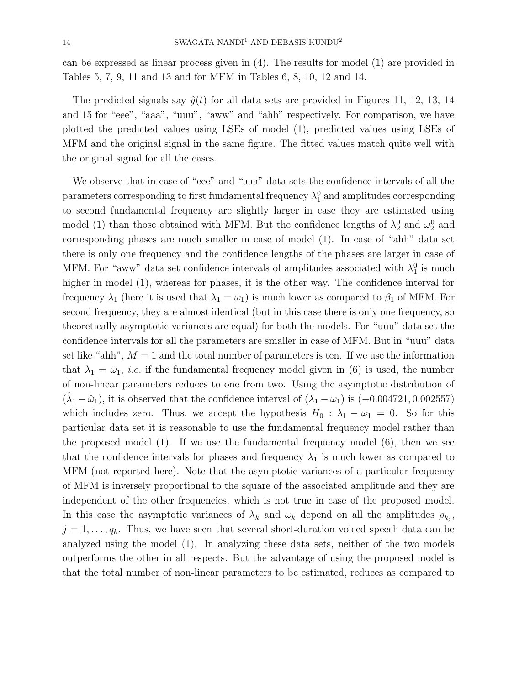can be expressed as linear process given in (4). The results for model (1) are provided in Tables 5, 7, 9, 11 and 13 and for MFM in Tables 6, 8, 10, 12 and 14.

The predicted signals say  $\hat{y}(t)$  for all data sets are provided in Figures 11, 12, 13, 14 and 15 for "eee", "aaa", "uuu", "aww" and "ahh" respectively. For comparison, we have plotted the predicted values using LSEs of model (1), predicted values using LSEs of MFM and the original signal in the same figure. The fitted values match quite well with the original signal for all the cases.

We observe that in case of "eee" and "aaa" data sets the confidence intervals of all the parameters corresponding to first fundamental frequency  $\lambda_1^0$  and amplitudes corresponding to second fundamental frequency are slightly larger in case they are estimated using model (1) than those obtained with MFM. But the confidence lengths of  $\lambda_2^0$  and  $\omega_2^0$  and corresponding phases are much smaller in case of model (1). In case of "ahh" data set there is only one frequency and the confidence lengths of the phases are larger in case of MFM. For "aww" data set confidence intervals of amplitudes associated with  $\lambda_1^0$  is much higher in model (1), whereas for phases, it is the other way. The confidence interval for frequency  $\lambda_1$  (here it is used that  $\lambda_1 = \omega_1$ ) is much lower as compared to  $\beta_1$  of MFM. For second frequency, they are almost identical (but in this case there is only one frequency, so theoretically asymptotic variances are equal) for both the models. For "uuu" data set the confidence intervals for all the parameters are smaller in case of MFM. But in "uuu" data set like "ahh",  $M = 1$  and the total number of parameters is ten. If we use the information that  $\lambda_1 = \omega_1$ , *i.e.* if the fundamental frequency model given in (6) is used, the number of non-linear parameters reduces to one from two. Using the asymptotic distribution of  $(\hat{\lambda}_1 - \hat{\omega}_1)$ , it is observed that the confidence interval of  $(\lambda_1 - \omega_1)$  is  $(-0.004721, 0.002557)$ which includes zero. Thus, we accept the hypothesis  $H_0$  :  $\lambda_1 - \omega_1 = 0$ . So for this particular data set it is reasonable to use the fundamental frequency model rather than the proposed model (1). If we use the fundamental frequency model (6), then we see that the confidence intervals for phases and frequency  $\lambda_1$  is much lower as compared to MFM (not reported here). Note that the asymptotic variances of a particular frequency of MFM is inversely proportional to the square of the associated amplitude and they are independent of the other frequencies, which is not true in case of the proposed model. In this case the asymptotic variances of  $\lambda_k$  and  $\omega_k$  depend on all the amplitudes  $\rho_{k_j}$ ,  $j = 1, \ldots, q_k$ . Thus, we have seen that several short-duration voiced speech data can be analyzed using the model (1). In analyzing these data sets, neither of the two models outperforms the other in all respects. But the advantage of using the proposed model is that the total number of non-linear parameters to be estimated, reduces as compared to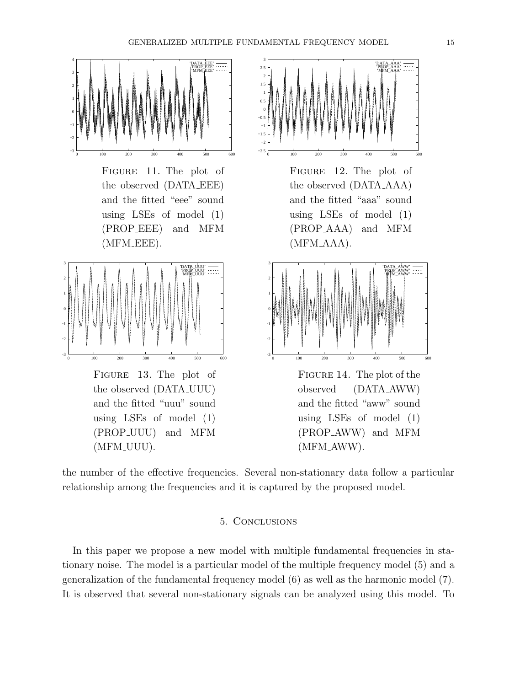

Figure 11. The plot of the observed (DATA EEE) and the fitted "eee" sound using LSEs of model (1) (PROP EEE) and MFM (MFM EEE).



Figure 13. The plot of the observed (DATA UUU) and the fitted "uuu" sound using LSEs of model (1) (PROP UUU) and MFM (MFM UUU).



Figure 12. The plot of the observed (DATA AAA) and the fitted "aaa" sound using LSEs of model (1) (PROP AAA) and MFM (MFM AAA).



Figure 14. The plot of the observed (DATA AWW) and the fitted "aww" sound using LSEs of model (1) (PROP AWW) and MFM (MFM AWW).

the number of the effective frequencies. Several non-stationary data follow a particular relationship among the frequencies and it is captured by the proposed model.

## 5. Conclusions

In this paper we propose a new model with multiple fundamental frequencies in stationary noise. The model is a particular model of the multiple frequency model (5) and a generalization of the fundamental frequency model (6) as well as the harmonic model (7). It is observed that several non-stationary signals can be analyzed using this model. To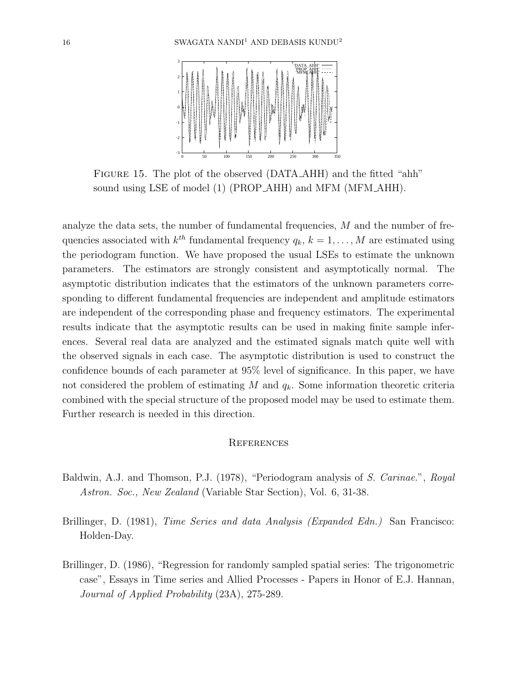

FIGURE 15. The plot of the observed (DATA\_AHH) and the fitted "ahh" sound using LSE of model (1) (PROP AHH) and MFM (MFM AHH).

analyze the data sets, the number of fundamental frequencies, M and the number of frequencies associated with  $k^{th}$  fundamental frequency  $q_k$ ,  $k = 1, \ldots, M$  are estimated using the periodogram function. We have proposed the usual LSEs to estimate the unknown parameters. The estimators are strongly consistent and asymptotically normal. The asymptotic distribution indicates that the estimators of the unknown parameters corresponding to different fundamental frequencies are independent and amplitude estimators are independent of the corresponding phase and frequency estimators. The experimental results indicate that the asymptotic results can be used in making finite sample inferences. Several real data are analyzed and the estimated signals match quite well with the observed signals in each case. The asymptotic distribution is used to construct the confidence bounds of each parameter at 95% level of significance. In this paper, we have not considered the problem of estimating  $M$  and  $q_k$ . Some information theoretic criteria combined with the special structure of the proposed model may be used to estimate them. Further research is needed in this direction.

## **REFERENCES**

- Baldwin, A.J. and Thomson, P.J. (1978), "Periodogram analysis of S. Carinae.", Royal Astron. Soc., New Zealand (Variable Star Section), Vol. 6, 31-38.
- Brillinger, D. (1981), *Time Series and data Analysis (Expanded Edn.)* San Francisco: Holden-Day.
- Brillinger, D. (1986), "Regression for randomly sampled spatial series: The trigonometric case", Essays in Time series and Allied Processes - Papers in Honor of E.J. Hannan, Journal of Applied Probability (23A), 275-289.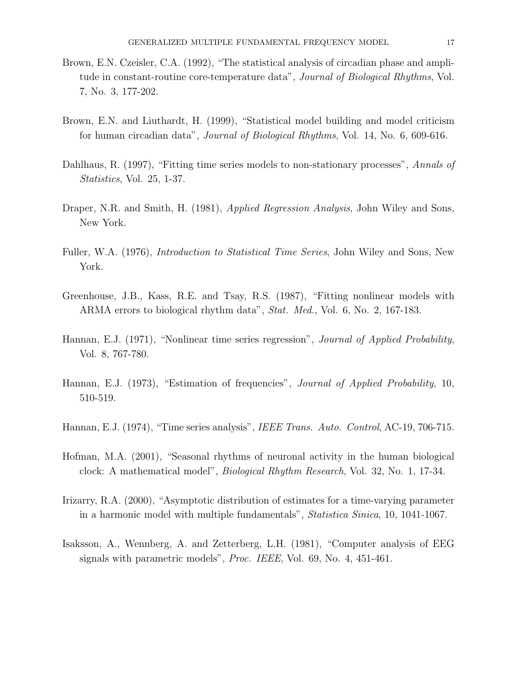- Brown, E.N. Czeisler, C.A. (1992), "The statistical analysis of circadian phase and amplitude in constant-routine core-temperature data", Journal of Biological Rhythms, Vol. 7, No. 3, 177-202.
- Brown, E.N. and Liuthardt, H. (1999), "Statistical model building and model criticism for human circadian data", Journal of Biological Rhythms, Vol. 14, No. 6, 609-616.
- Dahlhaus, R. (1997), "Fitting time series models to non-stationary processes", Annals of Statistics, Vol. 25, 1-37.
- Draper, N.R. and Smith, H. (1981), Applied Regression Analysis, John Wiley and Sons, New York.
- Fuller, W.A. (1976), Introduction to Statistical Time Series, John Wiley and Sons, New York.
- Greenhouse, J.B., Kass, R.E. and Tsay, R.S. (1987), "Fitting nonlinear models with ARMA errors to biological rhythm data", Stat. Med., Vol. 6, No. 2, 167-183.
- Hannan, E.J. (1971), "Nonlinear time series regression", *Journal of Applied Probability*, Vol. 8, 767-780.
- Hannan, E.J. (1973), "Estimation of frequencies", Journal of Applied Probability, 10, 510-519.
- Hannan, E.J. (1974), "Time series analysis", *IEEE Trans. Auto. Control*, AC-19, 706-715.
- Hofman, M.A. (2001), "Seasonal rhythms of neuronal activity in the human biological clock: A mathematical model", Biological Rhythm Research, Vol. 32, No. 1, 17-34.
- Irizarry, R.A. (2000), "Asymptotic distribution of estimates for a time-varying parameter in a harmonic model with multiple fundamentals", Statistica Sinica, 10, 1041-1067.
- Isaksson, A., Wennberg, A. and Zetterberg, L.H. (1981), "Computer analysis of EEG signals with parametric models", Proc. IEEE, Vol. 69, No. 4, 451-461.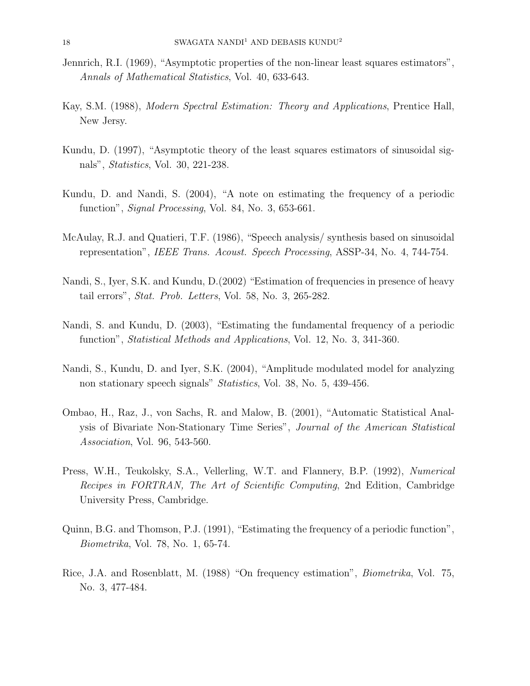- Jennrich, R.I. (1969), "Asymptotic properties of the non-linear least squares estimators", Annals of Mathematical Statistics, Vol. 40, 633-643.
- Kay, S.M. (1988), Modern Spectral Estimation: Theory and Applications, Prentice Hall, New Jersy.
- Kundu, D. (1997), "Asymptotic theory of the least squares estimators of sinusoidal signals", Statistics, Vol. 30, 221-238.
- Kundu, D. and Nandi, S. (2004), "A note on estimating the frequency of a periodic function", *Signal Processing*, Vol. 84, No. 3, 653-661.
- McAulay, R.J. and Quatieri, T.F. (1986), "Speech analysis/ synthesis based on sinusoidal representation", IEEE Trans. Acoust. Speech Processing, ASSP-34, No. 4, 744-754.
- Nandi, S., Iyer, S.K. and Kundu, D. (2002) "Estimation of frequencies in presence of heavy tail errors", Stat. Prob. Letters, Vol. 58, No. 3, 265-282.
- Nandi, S. and Kundu, D. (2003), "Estimating the fundamental frequency of a periodic function", Statistical Methods and Applications, Vol. 12, No. 3, 341-360.
- Nandi, S., Kundu, D. and Iyer, S.K. (2004), "Amplitude modulated model for analyzing non stationary speech signals" Statistics, Vol. 38, No. 5, 439-456.
- Ombao, H., Raz, J., von Sachs, R. and Malow, B. (2001), "Automatic Statistical Analysis of Bivariate Non-Stationary Time Series", Journal of the American Statistical Association, Vol. 96, 543-560.
- Press, W.H., Teukolsky, S.A., Vellerling, W.T. and Flannery, B.P. (1992), Numerical Recipes in FORTRAN, The Art of Scientific Computing, 2nd Edition, Cambridge University Press, Cambridge.
- Quinn, B.G. and Thomson, P.J. (1991), "Estimating the frequency of a periodic function", Biometrika, Vol. 78, No. 1, 65-74.
- Rice, J.A. and Rosenblatt, M. (1988) "On frequency estimation", Biometrika, Vol. 75, No. 3, 477-484.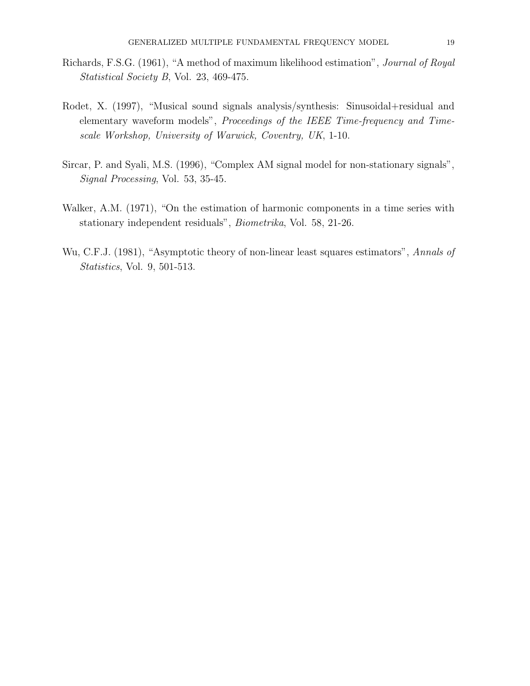- Richards, F.S.G. (1961), "A method of maximum likelihood estimation", Journal of Royal Statistical Society B, Vol. 23, 469-475.
- Rodet, X. (1997), "Musical sound signals analysis/synthesis: Sinusoidal+residual and elementary waveform models", Proceedings of the IEEE Time-frequency and Timescale Workshop, University of Warwick, Coventry, UK, 1-10.
- Sircar, P. and Syali, M.S. (1996), "Complex AM signal model for non-stationary signals", Signal Processing, Vol. 53, 35-45.
- Walker, A.M. (1971), "On the estimation of harmonic components in a time series with stationary independent residuals", Biometrika, Vol. 58, 21-26.
- Wu, C.F.J. (1981), "Asymptotic theory of non-linear least squares estimators", Annals of Statistics, Vol. 9, 501-513.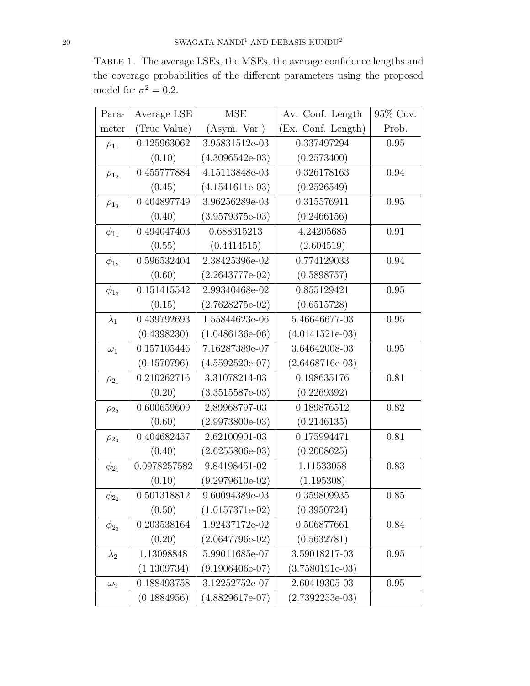Table 1. The average LSEs, the MSEs, the average confidence lengths and the coverage probabilities of the different parameters using the proposed model for  $\sigma^2 = 0.2$ .

| Para-        | Average LSE  | <b>MSE</b>        | Av. Conf. Length   | 95% Cov. |
|--------------|--------------|-------------------|--------------------|----------|
| meter        | (True Value) | (Asym. Var.)      | (Ex. Conf. Length) | Prob.    |
| $\rho_{1_1}$ | 0.125963062  | 3.95831512e-03    | 0.337497294        | 0.95     |
|              | (0.10)       | $(4.3096542e-03)$ | (0.2573400)        |          |
| $\rho_{12}$  | 0.455777884  | 4.15113848e-03    | 0.326178163        | 0.94     |
|              | (0.45)       | $(4.1541611e-03)$ | (0.2526549)        |          |
| $\rho_{1_3}$ | 0.404897749  | 3.96256289e-03    | 0.315576911        | 0.95     |
|              | (0.40)       | $(3.9579375e-03)$ | (0.2466156)        |          |
| $\phi_{1_1}$ | 0.494047403  | 0.688315213       | 4.24205685         | 0.91     |
|              | (0.55)       | (0.4414515)       | (2.604519)         |          |
| $\phi_{1_2}$ | 0.596532404  | 2.38425396e-02    | 0.774129033        | 0.94     |
|              | (0.60)       | $(2.2643777e-02)$ | (0.5898757)        |          |
| $\phi_{1_3}$ | 0.151415542  | 2.99340468e-02    | 0.855129421        | 0.95     |
|              | (0.15)       | $(2.7628275e-02)$ | (0.6515728)        |          |
| $\lambda_1$  | 0.439792693  | 1.55844623e-06    | 5.46646677-03      | 0.95     |
|              | (0.4398230)  | $(1.0486136e-06)$ | $(4.0141521e-03)$  |          |
| $\omega_1$   | 0.157105446  | 7.16287389e-07    | 3.64642008-03      | 0.95     |
|              | (0.1570796)  | $(4.5592520e-07)$ | $(2.6468716e-03)$  |          |
| $\rho_{2_1}$ | 0.210262716  | 3.31078214-03     | 0.198635176        | 0.81     |
|              | (0.20)       | $(3.3515587e-03)$ | (0.2269392)        |          |
| $\rho_{22}$  | 0.600659609  | 2.89968797-03     | 0.189876512        | 0.82     |
|              | (0.60)       | $(2.9973800e-03)$ | (0.2146135)        |          |
| $\rho_{23}$  | 0.404682457  | 2.62100901-03     | 0.175994471        | 0.81     |
|              | (0.40)       | $(2.6255806e-03)$ | (0.2008625)        |          |
| $\phi_{2_1}$ | 0.0978257582 | 9.84198451-02     | 1.11533058         | 0.83     |
|              | (0.10)       | $(9.2979610e-02)$ | (1.195308)         |          |
| $\phi_{2_2}$ | 0.501318812  | 9.60094389e-03    | 0.359809935        | $0.85\,$ |
|              | (0.50)       | $(1.0157371e-02)$ | (0.3950724)        |          |
| $\phi_{23}$  | 0.203538164  | 1.92437172e-02    | 0.506877661        | 0.84     |
|              | (0.20)       | $(2.0647796e-02)$ | (0.5632781)        |          |
| $\lambda_2$  | 1.13098848   | 5.99011685e-07    | 3.59018217-03      | 0.95     |
|              | (1.1309734)  | $(9.1906406e-07)$ | $(3.7580191e-03)$  |          |
| $\omega_2$   | 0.188493758  | 3.12252752e-07    | 2.60419305-03      | 0.95     |
|              | (0.1884956)  | $(4.8829617e-07)$ | $(2.7392253e-03)$  |          |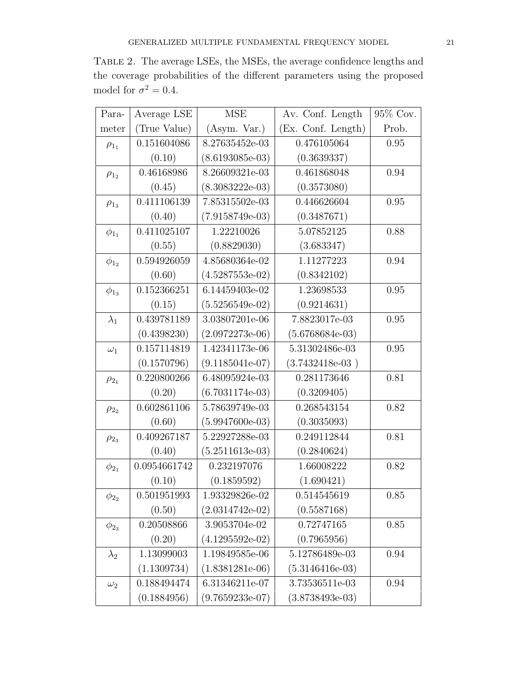Table 2. The average LSEs, the MSEs, the average confidence lengths and the coverage probabilities of the different parameters using the proposed model for  $\sigma^2 = 0.4$ .

| Para-        | Average LSE  | <b>MSE</b>        | Av. Conf. Length   | 95% Cov. |
|--------------|--------------|-------------------|--------------------|----------|
| meter        | (True Value) | (Asym. Var.)      | (Ex. Conf. Length) | Prob.    |
| $\rho_{1_1}$ | 0.151604086  | 8.27635452e-03    | 0.476105064        | 0.95     |
|              | (0.10)       | $(8.6193085e-03)$ | (0.3639337)        |          |
| $\rho_{1_2}$ | 0.46168986   | 8.26609321e-03    | 0.461868048        | 0.94     |
|              | (0.45)       | $(8.3083222e-03)$ | (0.3573080)        |          |
| $\rho_{1_3}$ | 0.411106139  | 7.85315502e-03    | 0.446626604        | 0.95     |
|              | (0.40)       | $(7.9158749e-03)$ | (0.3487671)        |          |
| $\phi_{1_1}$ | 0.411025107  | 1.22210026        | 5.07852125         | 0.88     |
|              | (0.55)       | (0.8829030)       | (3.683347)         |          |
| $\phi_{1_2}$ | 0.594926059  | 4.85680364e-02    | 1.11277223         | 0.94     |
|              | (0.60)       | $(4.5287553e-02)$ | (0.8342102)        |          |
| $\phi_{1_3}$ | 0.152366251  | 6.14459403e-02    | 1.23698533         | 0.95     |
|              | (0.15)       | $(5.5256549e-02)$ | (0.9214631)        |          |
| $\lambda_1$  | 0.439781189  | 3.03807201e-06    | 7.8823017e-03      | 0.95     |
|              | (0.4398230)  | $(2.0972273e-06)$ | $(5.6768684e-03)$  |          |
| $\omega_1$   | 0.157114819  | 1.42341173e-06    | 5.31302486e-03     | 0.95     |
|              | (0.1570796)  | $(9.1185041e-07)$ | $(3.7432418e-03)$  |          |
| $\rho_{2_1}$ | 0.220800266  | 6.48095924e-03    | 0.281173646        | 0.81     |
|              | (0.20)       | $(6.7031174e-03)$ | (0.3209405)        |          |
| $\rho_{2_2}$ | 0.602861106  | 5.78639749e-03    | 0.268543154        | 0.82     |
|              | (0.60)       | $(5.9947600e-03)$ | (0.3035093)        |          |
| $\rho_{23}$  | 0.409267187  | 5.22927288e-03    | 0.249112844        | 0.81     |
|              | (0.40)       | $(5.2511613e-03)$ | (0.2840624)        |          |
| $\phi_{2_1}$ | 0.0954661742 | 0.232197076       | 1.66008222         | 0.82     |
|              | (0.10)       | (0.1859592)       | (1.690421)         |          |
| $\phi_{2_2}$ | 0.501951993  | 1.93329826e-02    | 0.514545619        | $0.85\,$ |
|              | (0.50)       | $(2.0314742e-02)$ | (0.5587168)        |          |
| $\phi_{23}$  | 0.20508866   | 3.9053704e-02     | 0.72747165         | 0.85     |
|              | (0.20)       | $(4.1295592e-02)$ | (0.7965956)        |          |
| $\lambda_2$  | 1.13099003   | 1.19849585e-06    | 5.12786489e-03     | 0.94     |
|              | (1.1309734)  | $(1.8381281e-06)$ | $(5.3146416e-03)$  |          |
| $\omega_2$   | 0.188494474  | 6.31346211e-07    | 3.73536511e-03     | 0.94     |
|              | (0.1884956)  | $(9.7659233e-07)$ | $(3.8738493e-03)$  |          |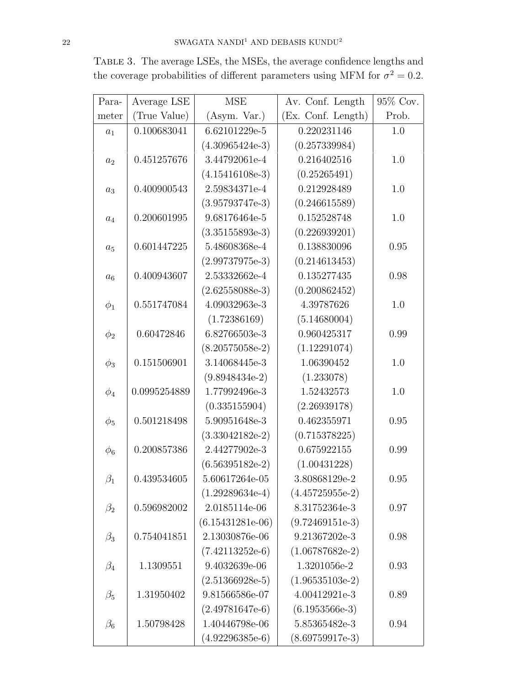| Para-     | Average LSE  | <b>MSE</b>         | Av. Conf. Length   | 95% Cov. |
|-----------|--------------|--------------------|--------------------|----------|
| meter     | (True Value) | (Asym. Var.)       | (Ex. Conf. Length) | Prob.    |
| $a_1$     | 0.100683041  | 6.62101229e-5      | 0.220231146        | 1.0      |
|           |              | $(4.30965424e-3)$  | (0.257339984)      |          |
| $a_2$     | 0.451257676  | 3.44792061e-4      | 0.216402516        | 1.0      |
|           |              | $(4.15416108e-3)$  | (0.25265491)       |          |
| $a_3$     | 0.400900543  | 2.59834371e-4      | 0.212928489        | 1.0      |
|           |              | $(3.95793747e-3)$  | (0.246615589)      |          |
| $a_4$     | 0.200601995  | 9.68176464e-5      | 0.152528748        | 1.0      |
|           |              | $(3.35155893e-3)$  | (0.226939201)      |          |
| $a_5$     | 0.601447225  | 5.48608368e-4      | 0.138830096        | 0.95     |
|           |              | $(2.99737975e-3)$  | (0.214613453)      |          |
| $a_6$     | 0.400943607  | 2.53332662e-4      | 0.135277435        | 0.98     |
|           |              | $(2.62558088e-3)$  | (0.200862452)      |          |
| $\phi_1$  | 0.551747084  | 4.09032963e-3      | 4.39787626         | 1.0      |
|           |              | (1.72386169)       | (5.14680004)       |          |
| $\phi_2$  | 0.60472846   | 6.82766503e-3      | 0.960425317        | 0.99     |
|           |              | $(8.20575058e-2)$  | (1.12291074)       |          |
| $\phi_3$  | 0.151506901  | 3.14068445e-3      | 1.06390452         | 1.0      |
|           |              | $(9.8948434e-2)$   | (1.233078)         |          |
| $\phi_4$  | 0.0995254889 | 1.77992496e-3      | 1.52432573         | 1.0      |
|           |              | (0.335155904)      | (2.26939178)       |          |
| $\phi_5$  | 0.501218498  | 5.90951648e-3      | 0.462355971        | 0.95     |
|           |              | $(3.33042182e-2)$  | (0.715378225)      |          |
| $\phi_6$  | 0.200857386  | 2.44277902e-3      | 0.675922155        | 0.99     |
|           |              | $(6.56395182e-2)$  | (1.00431228)       |          |
| $\beta_1$ | 0.439534605  | 5.60617264e-05     | 3.80868129e-2      | 0.95     |
|           |              | $(1.29289634e-4)$  | $(4.45725955e-2)$  |          |
| $\beta_2$ | 0.596982002  | 2.0185114e-06      | 8.31752364e-3      | 0.97     |
|           |              | $(6.15431281e-06)$ | $(9.72469151e-3)$  |          |
| $\beta_3$ | 0.754041851  | 2.13030876e-06     | 9.21367202e-3      | 0.98     |
|           |              | $(7.42113252e-6)$  | $(1.06787682e-2)$  |          |
| $\beta_4$ | 1.1309551    | 9.4032639e-06      | 1.3201056e-2       | 0.93     |
|           |              | $(2.51366928e-5)$  | $(1.96535103e-2)$  |          |
| $\beta_5$ | 1.31950402   | 9.81566586e-07     | 4.00412921e-3      | 0.89     |
|           |              | $(2.49781647e-6)$  | $(6.1953566e-3)$   |          |
| $\beta_6$ | 1.50798428   | 1.40446798e-06     | 5.85365482e-3      | 0.94     |
|           |              | $(4.92296385e-6)$  | $(8.69759917e-3)$  |          |

Table 3. The average LSEs, the MSEs, the average confidence lengths and the coverage probabilities of different parameters using MFM for  $\sigma^2 = 0.2$ .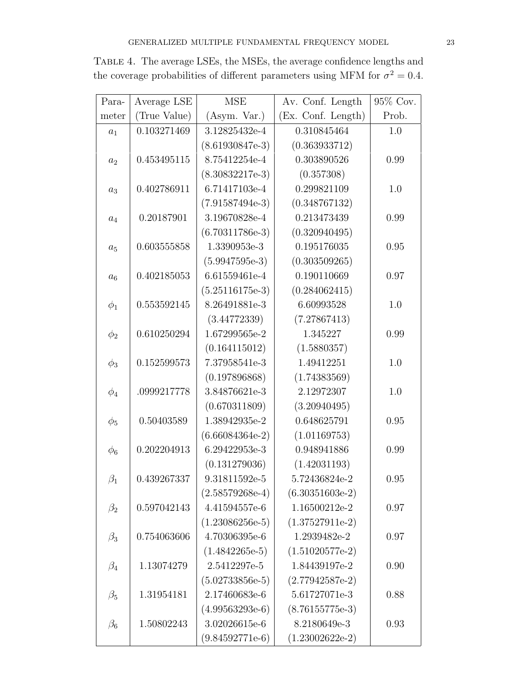| Para-     | Average LSE  | <b>MSE</b>        | Av. Conf. Length   | 95% Cov. |
|-----------|--------------|-------------------|--------------------|----------|
| meter     | (True Value) | (Asym. Var.)      | (Ex. Conf. Length) | Prob.    |
| $a_1$     | 0.103271469  | 3.12825432e-4     | 0.310845464        | 1.0      |
|           |              | $(8.61930847e-3)$ | (0.363933712)      |          |
| $a_2$     | 0.453495115  | 8.75412254e-4     | 0.303890526        | 0.99     |
|           |              | $(8.30832217e-3)$ | (0.357308)         |          |
| $a_3$     | 0.402786911  | 6.71417103e-4     | 0.299821109        | 1.0      |
|           |              | $(7.91587494e-3)$ | (0.348767132)      |          |
| $a_4$     | 0.20187901   | 3.19670828e-4     | 0.213473439        | 0.99     |
|           |              | $(6.70311786e-3)$ | (0.320940495)      |          |
| $a_5$     | 0.603555858  | 1.3390953e-3      | 0.195176035        | 0.95     |
|           |              | $(5.9947595e-3)$  | (0.303509265)      |          |
| $a_6$     | 0.402185053  | 6.61559461e-4     | 0.190110669        | 0.97     |
|           |              | $(5.25116175e-3)$ | (0.284062415)      |          |
| $\phi_1$  | 0.553592145  | 8.26491881e-3     | 6.60993528         | 1.0      |
|           |              | (3.44772339)      | (7.27867413)       |          |
| $\phi_2$  | 0.610250294  | 1.67299565e-2     | 1.345227           | 0.99     |
|           |              | (0.164115012)     | (1.5880357)        |          |
| $\phi_3$  | 0.152599573  | 7.37958541e-3     | 1.49412251         | 1.0      |
|           |              | (0.197896868)     | (1.74383569)       |          |
| $\phi_4$  | .0999217778  | 3.84876621e-3     | 2.12972307         | 1.0      |
|           |              | (0.670311809)     | (3.20940495)       |          |
| $\phi_5$  | 0.50403589   | 1.38942935e-2     | 0.648625791        | 0.95     |
|           |              | $(6.66084364e-2)$ | (1.01169753)       |          |
| $\phi_6$  | 0.202204913  | 6.29422953e-3     | 0.948941886        | 0.99     |
|           |              | (0.131279036)     | (1.42031193)       |          |
| $\beta_1$ | 0.439267337  | 9.31811592e-5     | 5.72436824e-2      | 0.95     |
|           |              | $(2.58579268e-4)$ | $(6.30351603e-2)$  |          |
| $\beta_2$ | 0.597042143  | 4.41594557e-6     | 1.16500212e-2      | 0.97     |
|           |              | $(1.23086256e-5)$ | $(1.37527911e-2)$  |          |
| $\beta_3$ | 0.754063606  | 4.70306395e-6     | 1.2939482e-2       | 0.97     |
|           |              | $(1.4842265e-5)$  | $(1.51020577e-2)$  |          |
| $\beta_4$ | 1.13074279   | 2.5412297e-5      | 1.84439197e-2      | 0.90     |
|           |              | $(5.02733856e-5)$ | $(2.77942587e-2)$  |          |
| $\beta_5$ | 1.31954181   | 2.17460683e-6     | 5.61727071e-3      | 0.88     |
|           |              | $(4.99563293e-6)$ | $(8.76155775e-3)$  |          |
| $\beta_6$ | 1.50802243   | 3.02026615e-6     | 8.2180649e-3       | 0.93     |
|           |              | $(9.84592771e-6)$ | $(1.23002622e-2)$  |          |

Table 4. The average LSEs, the MSEs, the average confidence lengths and the coverage probabilities of different parameters using MFM for  $\sigma^2 = 0.4$ .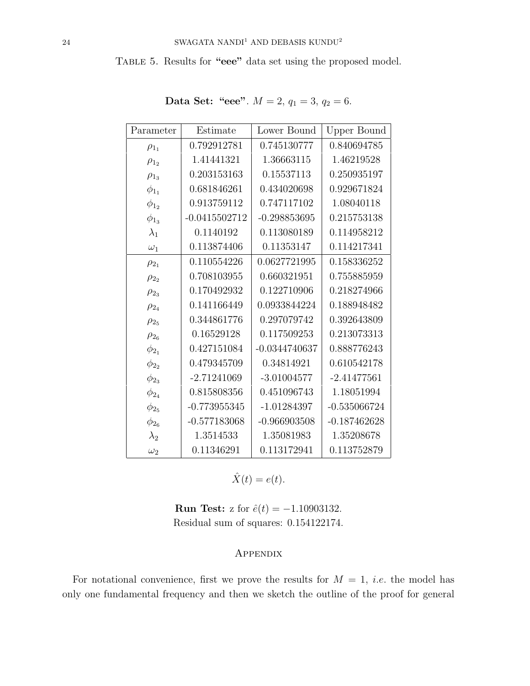TABLE 5. Results for "eee" data set using the proposed model.

| Parameter    | Estimate        | Lower Bound     | Upper Bound    |
|--------------|-----------------|-----------------|----------------|
| $\rho_{1_1}$ | 0.792912781     | 0.745130777     | 0.840694785    |
| $\rho_{1_2}$ | 1.41441321      | 1.36663115      | 1.46219528     |
| $\rho_{1_3}$ | 0.203153163     | 0.15537113      | 0.250935197    |
| $\phi_{1_1}$ | 0.681846261     | 0.434020698     | 0.929671824    |
| $\phi_{1_2}$ | 0.913759112     | 0.747117102     | 1.08040118     |
| $\phi_{1_3}$ | $-0.0415502712$ | $-0.298853695$  | 0.215753138    |
| $\lambda_1$  | 0.1140192       | 0.113080189     | 0.114958212    |
| $\omega_1$   | 0.113874406     | 0.11353147      | 0.114217341    |
| $\rho_{2_1}$ | 0.110554226     | 0.0627721995    | 0.158336252    |
| $\rho_{2_2}$ | 0.708103955     | 0.660321951     | 0.755885959    |
| $\rho_{23}$  | 0.170492932     | 0.122710906     | 0.218274966    |
| $\rho_{24}$  | 0.141166449     | 0.0933844224    | 0.188948482    |
| $\rho_{25}$  | 0.344861776     | 0.297079742     | 0.392643809    |
| $\rho_{2_6}$ | 0.16529128      | 0.117509253     | 0.213073313    |
| $\phi_{2_1}$ | 0.427151084     | $-0.0344740637$ | 0.888776243    |
| $\phi_{2_2}$ | 0.479345709     | 0.34814921      | 0.610542178    |
| $\phi_{2_3}$ | $-2.71241069$   | $-3.01004577$   | $-2.41477561$  |
| $\phi_{2_4}$ | 0.815808356     | 0.451096743     | 1.18051994     |
| $\phi_{25}$  | $-0.773955345$  | $-1.01284397$   | $-0.535066724$ |
| $\phi_{26}$  | $-0.577183068$  | $-0.966903508$  | $-0.187462628$ |
| $\lambda_2$  | 1.3514533       | 1.35081983      | 1.35208678     |
| $\omega_2$   | 0.11346291      | 0.113172941     | 0.113752879    |

Data Set: "eee".  $M = 2$ ,  $q_1 = 3$ ,  $q_2 = 6$ .

 $\hat{X}(t) = e(t).$ 

**Run Test:** z for  $\hat{e}(t) = -1.10903132$ . Residual sum of squares: 0.154122174.

## **APPENDIX**

For notational convenience, first we prove the results for  $M = 1$ , *i.e.* the model has only one fundamental frequency and then we sketch the outline of the proof for general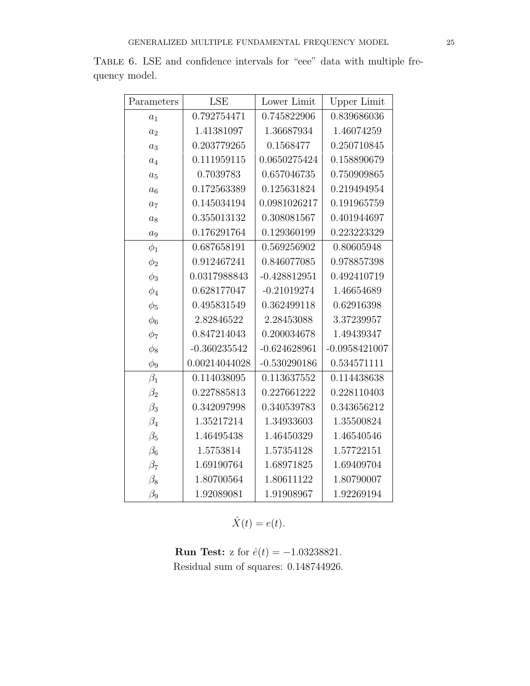| Parameters     | <b>LSE</b>     | Lower Limit    | Upper Limit     |
|----------------|----------------|----------------|-----------------|
| $a_1$          | 0.792754471    | 0.745822906    | 0.839686036     |
| a <sub>2</sub> | 1.41381097     | 1.36687934     | 1.46074259      |
| $a_3$          | 0.203779265    | 0.1568477      | 0.250710845     |
| $a_4$          | 0.111959115    | 0.0650275424   | 0.158890679     |
| $a_5$          | 0.7039783      | 0.657046735    | 0.750909865     |
| $a_6$          | 0.172563389    | 0.125631824    | 0.219494954     |
| $a_7$          | 0.145034194    | 0.0981026217   | 0.191965759     |
| $a_8$          | 0.355013132    | 0.308081567    | 0.401944697     |
| $a_9$          | 0.176291764    | 0.129360199    | 0.223223329     |
| $\phi_1$       | 0.687658191    | 0.569256902    | 0.80605948      |
| $\phi_2$       | 0.912467241    | 0.846077085    | 0.978857398     |
| $\phi_3$       | 0.0317988843   | $-0.428812951$ | 0.492410719     |
| $\phi_4$       | 0.628177047    | $-0.21019274$  | 1.46654689      |
| $\phi_5$       | 0.495831549    | 0.362499118    | 0.62916398      |
| $\phi_6$       | 2.82846522     | 2.28453088     | 3.37239957      |
| $\phi_7$       | 0.847214043    | 0.200034678    | 1.49439347      |
| $\phi_8$       | $-0.360235542$ | $-0.624628961$ | $-0.0958421007$ |
| $\phi_9$       | 0.00214044028  | $-0.530290186$ | 0.534571111     |
| $\beta_1$      | 0.114038095    | 0.113637552    | 0.114438638     |
| $\beta_2$      | 0.227885813    | 0.227661222    | 0.228110403     |
| $\beta_3$      | 0.342097998    | 0.340539783    | 0.343656212     |
| $\beta_4$      | 1.35217214     | 1.34933603     | 1.35500824      |
| $\beta_5$      | 1.46495438     | 1.46450329     | 1.46540546      |
| $\beta_6$      | 1.5753814      | 1.57354128     | 1.57722151      |
| $\beta_7$      | 1.69190764     | 1.68971825     | 1.69409704      |
| $\beta_8$      | 1.80700564     | 1.80611122     | 1.80790007      |
| $\beta_9$      | 1.92089081     | 1.91908967     | 1.92269194      |

Table 6. LSE and confidence intervals for "eee" data with multiple frequency model.

 $\hat{X}(t) = e(t).$ 

**Run Test:** z for  $\hat{e}(t) = -1.03238821$ . Residual sum of squares: 0.148744926.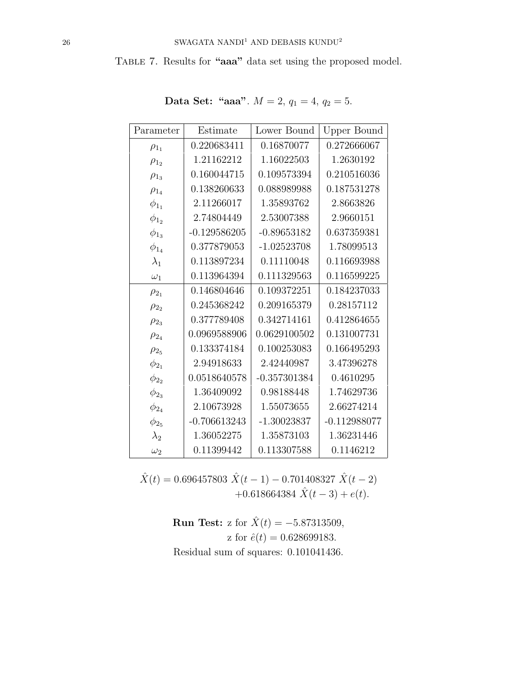Table 7. Results for "aaa" data set using the proposed model.

| Parameter    | Estimate       | Lower Bound    | Upper Bound    |
|--------------|----------------|----------------|----------------|
| $\rho_{1_1}$ | 0.220683411    | 0.16870077     | 0.272666067    |
| $\rho_{1_2}$ | 1.21162212     | 1.16022503     | 1.2630192      |
| $\rho_{1_3}$ | 0.160044715    | 0.109573394    | 0.210516036    |
| $\rho_{1_4}$ | 0.138260633    | 0.088989988    | 0.187531278    |
| $\phi_{1_1}$ | 2.11266017     | 1.35893762     | 2.8663826      |
| $\phi_{1_2}$ | 2.74804449     | 2.53007388     | 2.9660151      |
| $\phi_{1_3}$ | $-0.129586205$ | $-0.89653182$  | 0.637359381    |
| $\phi_{1_4}$ | 0.377879053    | $-1.02523708$  | 1.78099513     |
| $\lambda_1$  | 0.113897234    | 0.11110048     | 0.116693988    |
| $\omega_1$   | 0.113964394    | 0.111329563    | 0.116599225    |
| $\rho_{2_1}$ | 0.146804646    | 0.109372251    | 0.184237033    |
| $\rho_{2_2}$ | 0.245368242    | 0.209165379    | 0.28157112     |
| $\rho_{2_3}$ | 0.377789408    | 0.342714161    | 0.412864655    |
| $\rho_{2_4}$ | 0.0969588906   | 0.0629100502   | 0.131007731    |
| $\rho_{25}$  | 0.133374184    | 0.100253083    | 0.166495293    |
| $\phi_{2_1}$ | 2.94918633     | 2.42440987     | 3.47396278     |
| $\phi_{2_2}$ | 0.0518640578   | $-0.357301384$ | 0.4610295      |
| $\phi_{2_3}$ | 1.36409092     | 0.98188448     | 1.74629736     |
| $\phi_{2_4}$ | 2.10673928     | 1.55073655     | 2.66274214     |
| $\phi_{25}$  | $-0.706613243$ | $-1.30023837$  | $-0.112988077$ |
| $\lambda_2$  | 1.36052275     | 1.35873103     | 1.36231446     |
| $\omega_2$   | 0.11399442     | 0.113307588    | 0.1146212      |

Data Set: "aaa".  $M = 2$ ,  $q_1 = 4$ ,  $q_2 = 5$ .

 $\hat{X}(t) = 0.696457803$   $\hat{X}(t-1) - 0.701408327$   $\hat{X}(t-2)$ +0.618664384  $\hat{X}(t-3) + e(t)$ .

> **Run Test:** z for  $\hat{X}(t) = -5.87313509$ , z for  $\hat{e}(t) = 0.628699183$ . Residual sum of squares: 0.101041436.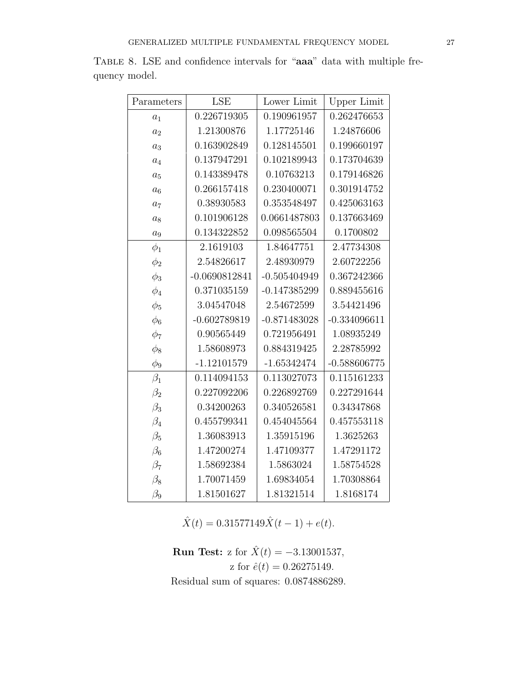| Parameters | <b>LSE</b>      | Lower Limit    | <b>Upper Limit</b> |
|------------|-----------------|----------------|--------------------|
| $a_1$      | 0.226719305     | 0.190961957    | 0.262476653        |
| $a_2$      | 1.21300876      | 1.17725146     | 1.24876606         |
| $a_3$      | 0.163902849     | 0.128145501    | 0.199660197        |
| $a_4$      | 0.137947291     | 0.102189943    | 0.173704639        |
| $a_5$      | 0.143389478     | 0.10763213     | 0.179146826        |
| $a_6$      | 0.266157418     | 0.230400071    | 0.301914752        |
| $a_7$      | 0.38930583      | 0.353548497    | 0.425063163        |
| $a_8$      | 0.101906128     | 0.0661487803   | 0.137663469        |
| $a_9$      | 0.134322852     | 0.098565504    | 0.1700802          |
| $\phi_1$   | 2.1619103       | 1.84647751     | 2.47734308         |
| $\phi_2$   | 2.54826617      | 2.48930979     | 2.60722256         |
| $\phi_3$   | $-0.0690812841$ | $-0.505404949$ | 0.367242366        |
| $\phi_4$   | 0.371035159     | $-0.147385299$ | 0.889455616        |
| $\phi_5$   | 3.04547048      | 2.54672599     | 3.54421496         |
| $\phi_6$   | $-0.602789819$  | $-0.871483028$ | $-0.334096611$     |
| $\phi_7$   | 0.90565449      | 0.721956491    | 1.08935249         |
| $\phi_8$   | 1.58608973      | 0.884319425    | 2.28785992         |
| $\phi_9$   | $-1.12101579$   | $-1.65342474$  | $-0.588606775$     |
| $\beta_1$  | 0.114094153     | 0.113027073    | 0.115161233        |
| $\beta_2$  | 0.227092206     | 0.226892769    | 0.227291644        |
| $\beta_3$  | 0.34200263      | 0.340526581    | 0.34347868         |
| $\beta_4$  | 0.455799341     | 0.454045564    | 0.457553118        |
| $\beta_5$  | 1.36083913      | 1.35915196     | 1.3625263          |
| $\beta_6$  | 1.47200274      | 1.47109377     | 1.47291172         |
| $\beta_7$  | 1.58692384      | 1.5863024      | 1.58754528         |
| $\beta_8$  | 1.70071459      | 1.69834054     | 1.70308864         |
| $\beta_9$  | 1.81501627      | 1.81321514     | 1.8168174          |

Table 8. LSE and confidence intervals for "aaa" data with multiple frequency model.

 $\hat{X}(t) = 0.31577149\hat{X}(t-1) + e(t).$ 

**Run Test:** z for  $\hat{X}(t) = -3.13001537$ , z for  $\hat{e}(t) = 0.26275149$ . Residual sum of squares: 0.0874886289.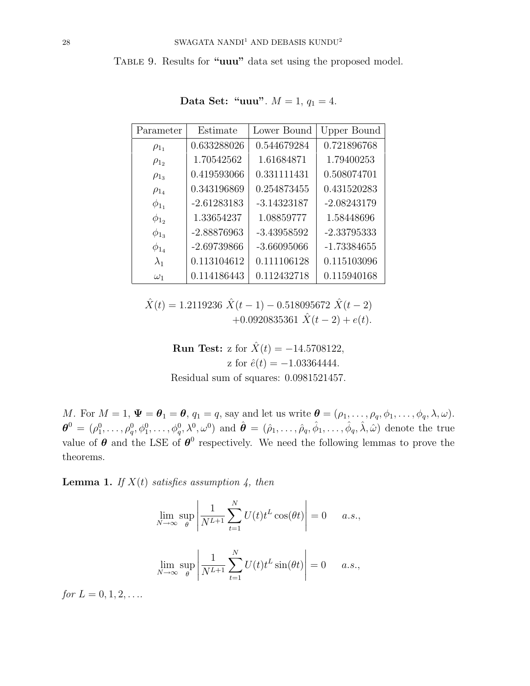TABLE 9. Results for "uuu" data set using the proposed model.

| Parameter    | Estimate      | Lower Bound   | Upper Bound   |
|--------------|---------------|---------------|---------------|
| $\rho_{1_1}$ | 0.633288026   | 0.544679284   | 0.721896768   |
| $\rho_{1}$   | 1.70542562    | 1.61684871    | 1.79400253    |
| $\rho_{13}$  | 0.419593066   | 0.331111431   | 0.508074701   |
| $\rho_{1_4}$ | 0.343196869   | 0.254873455   | 0.431520283   |
| $\phi_{1_1}$ | $-2.61283183$ | $-3.14323187$ | $-2.08243179$ |
| $\phi_{12}$  | 1.33654237    | 1.08859777    | 1.58448696    |
| $\phi_{1_3}$ | $-2.88876963$ | $-3.43958592$ | $-2.33795333$ |
| $\phi_{1_4}$ | $-2.69739866$ | $-3.66095066$ | $-1.73384655$ |
| $\lambda_1$  | 0.113104612   | 0.111106128   | 0.115103096   |
| $\omega_1$   | 0.114186443   | 0.112432718   | 0.115940168   |

Data Set: "uuu".  $M = 1, q_1 = 4.$ 

 $\hat{X}(t) = 1.2119236 \hat{X}(t-1) - 0.518095672 \hat{X}(t-2)$  $+0.0920835361 \hat{X}(t-2)+e(t).$ 

> **Run Test:** z for  $\hat{X}(t) = -14.5708122$ , z for  $\hat{e}(t) = -1.03364444$ . Residual sum of squares: 0.0981521457.

M. For  $M = 1$ ,  $\Psi = \theta_1 = \theta$ ,  $q_1 = q$ , say and let us write  $\theta = (\rho_1, \ldots, \rho_q, \phi_1, \ldots, \phi_q, \lambda, \omega)$ .  $\boldsymbol{\theta}^0 = (\rho_1^0, \ldots, \rho_q^0, \phi_1^0, \ldots, \phi_q^0, \lambda^0, \omega^0)$  and  $\hat{\boldsymbol{\theta}} = (\hat{\rho}_1, \ldots, \hat{\rho}_q, \hat{\phi}_1, \ldots, \hat{\phi}_q, \hat{\lambda}, \hat{\omega})$  denote the true value of  $\theta$  and the LSE of  $\theta^0$  respectively. We need the following lemmas to prove the theorems.

**Lemma 1.** If  $X(t)$  satisfies assumption 4, then

$$
\lim_{N \to \infty} \sup_{\theta} \left| \frac{1}{N^{L+1}} \sum_{t=1}^{N} U(t) t^{L} \cos(\theta t) \right| = 0 \quad a.s.,
$$
  

$$
\lim_{N \to \infty} \sup_{\theta} \left| \frac{1}{N^{L+1}} \sum_{t=1}^{N} U(t) t^{L} \sin(\theta t) \right| = 0 \quad a.s.,
$$

for  $L = 0, 1, 2, \ldots$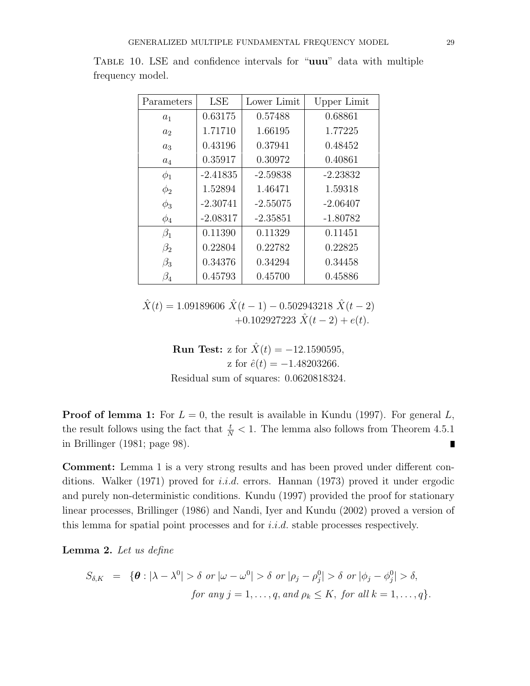| Parameters     | LSE        | Lower Limit | Upper Limit |
|----------------|------------|-------------|-------------|
| $a_1$          | 0.63175    | 0.57488     | 0.68861     |
| a <sub>2</sub> | 1.71710    | 1.66195     | 1.77225     |
| $a_3$          | 0.43196    | 0.37941     | 0.48452     |
| $a_4$          | 0.35917    | 0.30972     | 0.40861     |
| $\phi_1$       | $-2.41835$ | $-2.59838$  | $-2.23832$  |
| $\phi_2$       | 1.52894    | 1.46471     | 1.59318     |
| $\phi_3$       | $-2.30741$ | $-2.55075$  | $-2.06407$  |
| $\phi_4$       | $-2.08317$ | $-2.35851$  | $-1.80782$  |
| $\beta_1$      | 0.11390    | 0.11329     | 0.11451     |
| $\beta_2$      | 0.22804    | 0.22782     | 0.22825     |
| $\beta_3$      | 0.34376    | 0.34294     | 0.34458     |
| $\beta_4$      | 0.45793    | 0.45700     | 0.45886     |

Table 10. LSE and confidence intervals for "uuu" data with multiple frequency model.

 $\hat{X}(t) = 1.09189606 \hat{X}(t-1) - 0.502943218 \hat{X}(t-2)$  $+0.102927223\hat{X}(t-2)+e(t).$ 

> **Run Test:** z for  $\hat{X}(t) = -12.1590595$ , z for  $\hat{e}(t) = -1.48203266$ . Residual sum of squares: 0.0620818324.

**Proof of lemma 1:** For  $L = 0$ , the result is available in Kundu (1997). For general L, the result follows using the fact that  $\frac{t}{N} < 1$ . The lemma also follows from Theorem 4.5.1 in Brillinger (1981; page 98).  $\blacksquare$ 

Comment: Lemma 1 is a very strong results and has been proved under different conditions. Walker (1971) proved for *i.i.d.* errors. Hannan (1973) proved it under ergodic and purely non-deterministic conditions. Kundu (1997) provided the proof for stationary linear processes, Brillinger (1986) and Nandi, Iyer and Kundu (2002) proved a version of this lemma for spatial point processes and for  $i.i.d.$  stable processes respectively.

Lemma 2. Let us define

$$
S_{\delta,K} = \{ \boldsymbol{\theta} : |\lambda - \lambda^0| > \delta \text{ or } |\omega - \omega^0| > \delta \text{ or } |\rho_j - \rho_j^0| > \delta \text{ or } |\phi_j - \phi_j^0| > \delta,
$$
  
for any  $j = 1, ..., q$ , and  $\rho_k \le K$ , for all  $k = 1, ..., q\}.$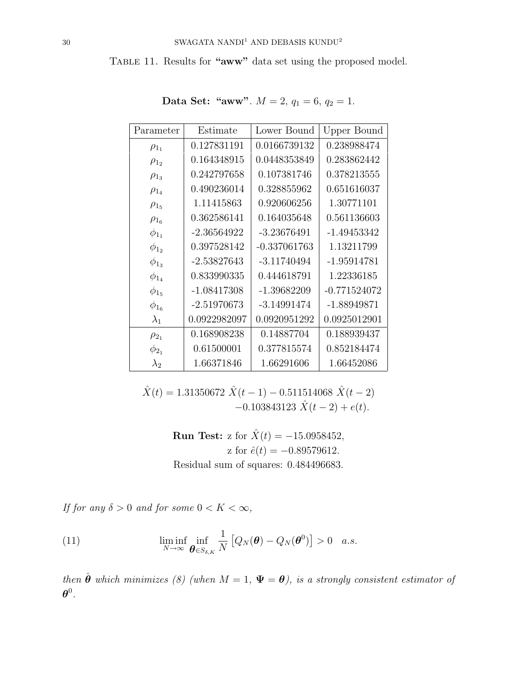TABLE 11. Results for "aww" data set using the proposed model.

| Parameter    | Estimate      | Lower Bound    | Upper Bound    |
|--------------|---------------|----------------|----------------|
| $\rho_{1_1}$ | 0.127831191   | 0.0166739132   | 0.238988474    |
| $\rho_{12}$  | 0.164348915   | 0.0448353849   | 0.283862442    |
| $\rho_{1_3}$ | 0.242797658   | 0.107381746    | 0.378213555    |
| $\rho_{1_4}$ | 0.490236014   | 0.328855962    | 0.651616037    |
| $\rho_{15}$  | 1.11415863    | 0.920606256    | 1.30771101     |
| $\rho_{1_6}$ | 0.362586141   | 0.164035648    | 0.561136603    |
| $\phi_{1_1}$ | $-2.36564922$ | $-3.23676491$  | $-1.49453342$  |
| $\phi_{1_2}$ | 0.397528142   | $-0.337061763$ | 1.13211799     |
| $\phi_{13}$  | $-2.53827643$ | $-3.11740494$  | $-1.95914781$  |
| $\phi_{1_4}$ | 0.833990335   | 0.444618791    | 1.22336185     |
| $\phi_{15}$  | $-1.08417308$ | $-1.39682209$  | $-0.771524072$ |
| $\phi_{1_6}$ | $-2.51970673$ | $-3.14991474$  | $-1.88949871$  |
| $\lambda_1$  | 0.0922982097  | 0.0920951292   | 0.0925012901   |
| $\rho_{2_1}$ | 0.168908238   | 0.14887704     | 0.188939437    |
| $\phi_{2_1}$ | 0.61500001    | 0.377815574    | 0.852184474    |
| $\lambda_2$  | 1.66371846    | 1.66291606     | 1.66452086     |

Data Set: "aww".  $M = 2$ ,  $q_1 = 6$ ,  $q_2 = 1$ .

 $\hat{X}(t) = 1.31350672 \; \hat{X}(t-1) - 0.511514068 \; \hat{X}(t-2)$  $-0.103843123 \hat{X}(t-2) + e(t).$ 

> **Run Test:** z for  $\hat{X}(t) = -15.0958452$ , z for  $\hat{e}(t) = -0.89579612$ . Residual sum of squares: 0.484496683.

If for any  $\delta > 0$  and for some  $0 < K < \infty$ ,

(11) 
$$
\liminf_{N \to \infty} \inf_{\boldsymbol{\theta} \in S_{\delta,K}} \frac{1}{N} \left[ Q_N(\boldsymbol{\theta}) - Q_N(\boldsymbol{\theta}^0) \right] > 0 \quad a.s.
$$

then  $\hat{\theta}$  which minimizes (8) (when  $M = 1$ ,  $\Psi = \theta$ ), is a strongly consistent estimator of  $\boldsymbol{\theta}^0$  .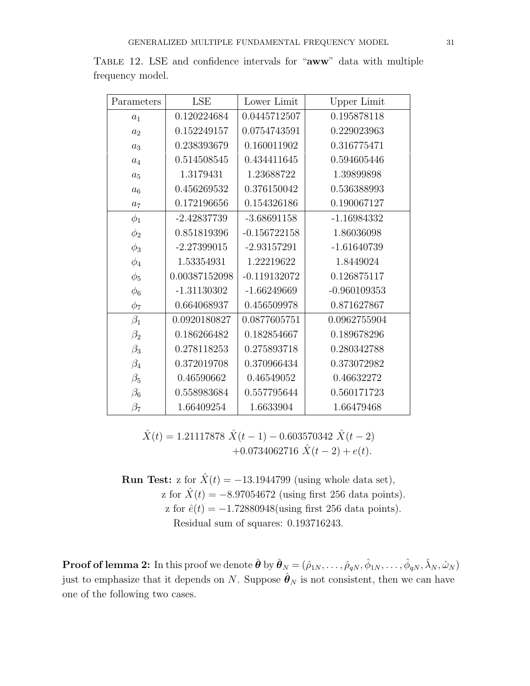| Parameters     | LSE           | Lower Limit    | <b>Upper Limit</b> |
|----------------|---------------|----------------|--------------------|
| $a_1$          | 0.120224684   | 0.0445712507   | 0.195878118        |
| $a_2$          | 0.152249157   | 0.0754743591   | 0.229023963        |
| $a_3$          | 0.238393679   | 0.160011902    | 0.316775471        |
| $a_4$          | 0.514508545   | 0.434411645    | 0.594605446        |
| $a_5$          | 1.3179431     | 1.23688722     | 1.39899898         |
| $a_6$          | 0.456269532   | 0.376150042    | 0.536388993        |
| a <sub>7</sub> | 0.172196656   | 0.154326186    | 0.190067127        |
| $\phi_1$       | $-2.42837739$ | $-3.68691158$  | $-1.16984332$      |
| $\phi_2$       | 0.851819396   | $-0.156722158$ | 1.86036098         |
| $\phi_3$       | $-2.27399015$ | $-2.93157291$  | $-1.61640739$      |
| $\phi_4$       | 1.53354931    | 1.22219622     | 1.8449024          |
| $\phi_5$       | 0.00387152098 | $-0.119132072$ | 0.126875117        |
| $\phi_6$       | $-1.31130302$ | $-1.66249669$  | $-0.960109353$     |
| $\phi_7$       | 0.664068937   | 0.456509978    | 0.871627867        |
| $\beta_1$      | 0.0920180827  | 0.0877605751   | 0.0962755904       |
| $\beta_2$      | 0.186266482   | 0.182854667    | 0.189678296        |
| $\beta_3$      | 0.278118253   | 0.275893718    | 0.280342788        |
| $\beta_4$      | 0.372019708   | 0.370966434    | 0.373072982        |
| $\beta_5$      | 0.46590662    | 0.46549052     | 0.46632272         |
| $\beta_6$      | 0.558983684   | 0.557795644    | 0.560171723        |
| $\beta_7$      | 1.66409254    | 1.6633904      | 1.66479468         |

Table 12. LSE and confidence intervals for "aww" data with multiple frequency model.

 $\hat{X}(t) = 1.21117878 \hat{X}(t-1) - 0.603570342 \hat{X}(t-2)$ +0.0734062716  $\hat{X}(t-2) + e(t)$ .

**Run Test:** z for  $\hat{X}(t) = -13.1944799$  (using whole data set), z for  $\hat{X}(t) = -8.97054672$  (using first 256 data points). z for  $\hat{e}(t) = -1.72880948$ (using first 256 data points). Residual sum of squares: 0.193716243.

 ${\bf Proof of lemma 2:}$  In this proof we denote  $\hat{\bm{\theta}}$  by  $\hat{\bm{\theta}}_N=(\hat{\rho}_{1N},\ldots,\hat{\rho}_{qN},\hat{\phi}_{1N},\ldots,\hat{\phi}_{qN},\hat{\lambda}_N,\hat{\omega}_N)$ just to emphasize that it depends on N. Suppose  $\hat{\theta}_N$  is not consistent, then we can have one of the following two cases.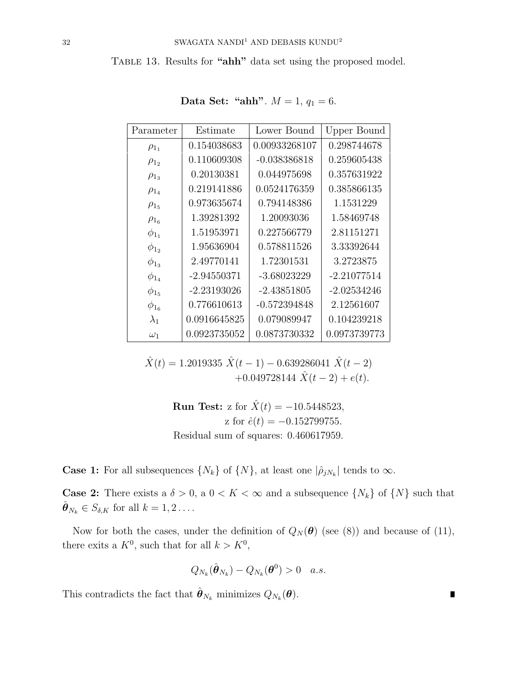TABLE 13. Results for "ahh" data set using the proposed model.

| Parameter    | Estimate      | Lower Bound    | Upper Bound   |
|--------------|---------------|----------------|---------------|
| $\rho_{1_1}$ | 0.154038683   | 0.00933268107  | 0.298744678   |
| $\rho_{12}$  | 0.110609308   | $-0.038386818$ | 0.259605438   |
| $\rho_{1_3}$ | 0.20130381    | 0.044975698    | 0.357631922   |
| $\rho_{1_4}$ | 0.219141886   | 0.0524176359   | 0.385866135   |
| $\rho_{15}$  | 0.973635674   | 0.794148386    | 1.1531229     |
| $\rho_{1_6}$ | 1.39281392    | 1.20093036     | 1.58469748    |
| $\phi_{1_1}$ | 1.51953971    | 0.227566779    | 2.81151271    |
| $\phi_{12}$  | 1.95636904    | 0.578811526    | 3.33392644    |
| $\phi_{13}$  | 2.49770141    | 1.72301531     | 3.2723875     |
| $\phi_{1_4}$ | $-2.94550371$ | -3.68023229    | $-2.21077514$ |
| $\phi_{15}$  | $-2.23193026$ | $-2.43851805$  | $-2.02534246$ |
| $\phi_{1_6}$ | 0.776610613   | $-0.572394848$ | 2.12561607    |
| $\lambda_1$  | 0.0916645825  | 0.079089947    | 0.104239218   |
| $\omega_1$   | 0.0923735052  | 0.0873730332   | 0.0973739773  |

Data Set: "ahh".  $M = 1, q_1 = 6$ .

 $\hat{X}(t) = 1.2019335 \hat{X}(t-1) - 0.639286041 \hat{X}(t-2)$ +0.049728144  $\hat{X}(t-2) + e(t)$ .

> **Run Test:** z for  $\hat{X}(t) = -10.5448523$ , z for  $\hat{e}(t) = -0.152799755$ .

> Residual sum of squares: 0.460617959.

**Case 1:** For all subsequences  $\{N_k\}$  of  $\{N\}$ , at least one  $|\hat{\rho}_{jN_k}|$  tends to  $\infty$ .

**Case 2:** There exists a  $\delta > 0$ , a  $0 < K < \infty$  and a subsequence  $\{N_k\}$  of  $\{N\}$  such that  $\hat{\boldsymbol{\theta}}_{N_k} \in S_{\delta,K}$  for all  $k = 1, 2 \ldots$ .

Now for both the cases, under the definition of  $Q_N(\theta)$  (see (8)) and because of (11), there exits a  $K^0$ , such that for all  $k > K^0$ ,

$$
Q_{N_k}(\hat{\boldsymbol{\theta}}_{N_k}) - Q_{N_k}(\boldsymbol{\theta}^0) > 0 \quad a.s.
$$

This contradicts the fact that  $\hat{\boldsymbol{\theta}}_{N_k}$  minimizes  $Q_{N_k}(\boldsymbol{\theta}).$ 

П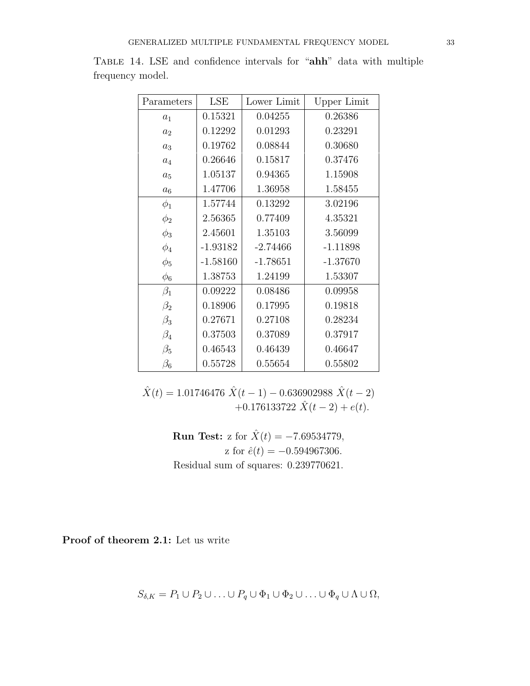| Parameters     | <b>LSE</b> | Lower Limit | Upper Limit |
|----------------|------------|-------------|-------------|
| $a_1$          | 0.15321    | 0.04255     | 0.26386     |
| a <sub>2</sub> | 0.12292    | 0.01293     | 0.23291     |
| $a_3$          | 0.19762    | 0.08844     | 0.30680     |
| $a_4$          | 0.26646    | 0.15817     | 0.37476     |
| $a_5$          | 1.05137    | 0.94365     | 1.15908     |
| $a_6$          | 1.47706    | 1.36958     | 1.58455     |
| $\phi_1$       | 1.57744    | 0.13292     | 3.02196     |
| $\phi_2$       | 2.56365    | 0.77409     | 4.35321     |
| $\phi_3$       | 2.45601    | 1.35103     | 3.56099     |
| $\phi_4$       | $-1.93182$ | $-2.74466$  | $-1.11898$  |
| $\phi_5$       | $-1.58160$ | $-1.78651$  | $-1.37670$  |
| $\phi_6$       | 1.38753    | 1.24199     | 1.53307     |
| $\beta_1$      | 0.09222    | 0.08486     | 0.09958     |
| $\beta_2$      | 0.18906    | 0.17995     | 0.19818     |
| $\beta_3$      | 0.27671    | 0.27108     | 0.28234     |
| $\beta_4$      | 0.37503    | 0.37089     | 0.37917     |
| $\beta_5$      | 0.46543    | 0.46439     | 0.46647     |
| $\beta_6$      | 0.55728    | 0.55654     | 0.55802     |

Table 14. LSE and confidence intervals for "ahh" data with multiple frequency model.

 $\hat{X}(t) = 1.01746476 \hat{X}(t-1) - 0.636902988 \hat{X}(t-2)$ +0.176133722  $\hat{X}(t-2) + e(t)$ .

> **Run Test:** z for  $\hat{X}(t) = -7.69534779$ , z for  $\hat{e}(t) = -0.594967306$ . Residual sum of squares: 0.239770621.

Proof of theorem 2.1: Let us write

$$
S_{\delta,K} = P_1 \cup P_2 \cup \ldots \cup P_q \cup \Phi_1 \cup \Phi_2 \cup \ldots \cup \Phi_q \cup \Lambda \cup \Omega,
$$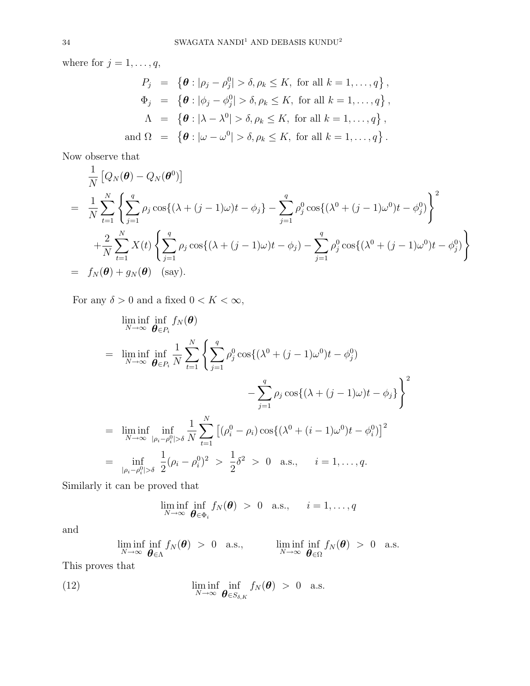where for  $j = 1, \ldots, q$ ,

$$
P_j = \left\{ \theta : |\rho_j - \rho_j^0| > \delta, \rho_k \le K, \text{ for all } k = 1, ..., q \right\},
$$
  
\n
$$
\Phi_j = \left\{ \theta : |\phi_j - \phi_j^0| > \delta, \rho_k \le K, \text{ for all } k = 1, ..., q \right\},
$$
  
\n
$$
\Lambda = \left\{ \theta : |\lambda - \lambda^0| > \delta, \rho_k \le K, \text{ for all } k = 1, ..., q \right\},
$$
  
\nand 
$$
\Omega = \left\{ \theta : |\omega - \omega^0| > \delta, \rho_k \le K, \text{ for all } k = 1, ..., q \right\}.
$$

Now observe that

$$
\frac{1}{N} \left[ Q_N(\boldsymbol{\theta}) - Q_N(\boldsymbol{\theta}^0) \right]
$$
\n
$$
= \frac{1}{N} \sum_{t=1}^N \left\{ \sum_{j=1}^q \rho_j \cos\{(\lambda + (j-1)\omega)t - \phi_j\} - \sum_{j=1}^q \rho_j^0 \cos\{(\lambda^0 + (j-1)\omega^0)t - \phi_j^0\} \right\}^2
$$
\n
$$
+ \frac{2}{N} \sum_{t=1}^N X(t) \left\{ \sum_{j=1}^q \rho_j \cos\{(\lambda + (j-1)\omega)t - \phi_j\} - \sum_{j=1}^q \rho_j^0 \cos\{(\lambda^0 + (j-1)\omega^0)t - \phi_j^0\} \right\}
$$
\n
$$
= f_N(\boldsymbol{\theta}) + g_N(\boldsymbol{\theta}) \quad \text{(say)}.
$$

For any  $\delta > 0$  and a fixed  $0 < K < \infty$ ,

$$
\liminf_{N \to \infty} \inf_{\theta \in P_i} f_N(\theta)
$$
\n
$$
= \liminf_{N \to \infty} \inf_{\theta \in P_i} \frac{1}{N} \sum_{t=1}^N \left\{ \sum_{j=1}^q \rho_j^0 \cos\left(\lambda^0 + (j-1)\omega^0\right) t - \phi_j^0 \right\}
$$
\n
$$
- \sum_{j=1}^q \rho_j \cos\left(\lambda + (j-1)\omega\right) t - \phi_j \right\}^2
$$
\n
$$
= \liminf_{N \to \infty} \inf_{|\rho_i - \rho_i^0| > \delta} \frac{1}{N} \sum_{t=1}^N \left[ (\rho_i^0 - \rho_i) \cos\left(\lambda^0 + (i-1)\omega^0\right) t - \phi_i^0 \right]^2
$$
\n
$$
= \inf_{|\rho_i - \rho_i^0| > \delta} \frac{1}{2} (\rho_i - \rho_i^0)^2 > \frac{1}{2} \delta^2 > 0 \text{ a.s.,} \quad i = 1, ..., q.
$$

Similarly it can be proved that

$$
\liminf_{N \to \infty} \inf_{\boldsymbol{\theta} \in \Phi_i} f_N(\boldsymbol{\theta}) > 0 \quad \text{a.s.,} \qquad i = 1, \ldots, q
$$

and

$$
\liminf_{N\to\infty}\inf_{\boldsymbol{\theta}\in\Lambda}f_N(\boldsymbol{\theta})\,\,>\,\,0\quad\text{a.s.},\qquad\qquad\liminf_{N\to\infty}\inf_{\boldsymbol{\theta}\in\Omega}f_N(\boldsymbol{\theta})\,\,>\,\,0\quad\text{a.s.}
$$

This proves that

(12) 
$$
\liminf_{N \to \infty} \inf_{\boldsymbol{\theta} \in S_{\delta,K}} f_N(\boldsymbol{\theta}) > 0 \text{ a.s.}
$$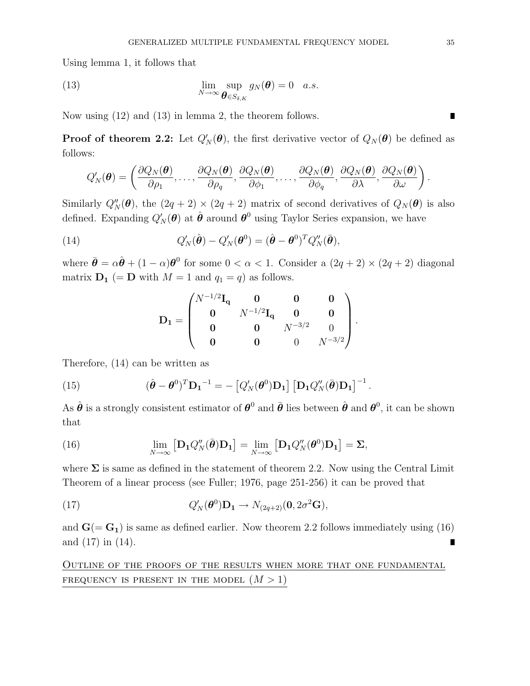Using lemma 1, it follows that

(13) 
$$
\lim_{N \to \infty} \sup_{\boldsymbol{\theta} \in S_{\delta,K}} g_N(\boldsymbol{\theta}) = 0 \quad a.s.
$$

Now using (12) and (13) in lemma 2, the theorem follows.

**Proof of theorem 2.2:** Let  $Q'_N(\theta)$ , the first derivative vector of  $Q_N(\theta)$  be defined as follows:

$$
Q'_N(\boldsymbol{\theta}) = \left(\frac{\partial Q_N(\boldsymbol{\theta})}{\partial \rho_1},\ldots,\frac{\partial Q_N(\boldsymbol{\theta})}{\partial \rho_q},\frac{\partial Q_N(\boldsymbol{\theta})}{\partial \phi_1},\ldots,\frac{\partial Q_N(\boldsymbol{\theta})}{\partial \phi_q},\frac{\partial Q_N(\boldsymbol{\theta})}{\partial \lambda},\frac{\partial Q_N(\boldsymbol{\theta})}{\partial \omega}\right).
$$

Similarly  $Q''_N(\theta)$ , the  $(2q + 2) \times (2q + 2)$  matrix of second derivatives of  $Q_N(\theta)$  is also defined. Expanding  $Q'_N(\theta)$  at  $\hat{\theta}$  around  $\theta^0$  using Taylor Series expansion, we have

(14) 
$$
Q'_N(\hat{\boldsymbol{\theta}}) - Q'_N(\boldsymbol{\theta}^0) = (\hat{\boldsymbol{\theta}} - \boldsymbol{\theta}^0)^T Q''_N(\bar{\boldsymbol{\theta}}),
$$

where  $\bar{\theta} = \alpha \hat{\theta} + (1 - \alpha) \theta^0$  for some  $0 < \alpha < 1$ . Consider a  $(2q + 2) \times (2q + 2)$  diagonal matrix  $D_1$  (= D with  $M = 1$  and  $q_1 = q$ ) as follows.

$$
\mathbf{D_1} = \begin{pmatrix} N^{-1/2} \mathbf{I_q} & \mathbf{0} & \mathbf{0} & \mathbf{0} \\ \mathbf{0} & N^{-1/2} \mathbf{I_q} & \mathbf{0} & \mathbf{0} \\ \mathbf{0} & \mathbf{0} & N^{-3/2} & 0 \\ \mathbf{0} & \mathbf{0} & \mathbf{0} & N^{-3/2} \end{pmatrix}.
$$

Therefore, (14) can be written as

(15) 
$$
(\hat{\boldsymbol{\theta}} - \boldsymbol{\theta}^0)^T \mathbf{D_1}^{-1} = - \left[ Q'_N(\boldsymbol{\theta}^0) \mathbf{D_1} \right] \left[ \mathbf{D_1} Q''_N(\bar{\boldsymbol{\theta}}) \mathbf{D_1} \right]^{-1}.
$$

As  $\hat{\theta}$  is a strongly consistent estimator of  $\theta^0$  and  $\bar{\theta}$  lies between  $\hat{\theta}$  and  $\theta^0$ , it can be shown that

(16) 
$$
\lim_{N \to \infty} \left[ \mathbf{D}_1 Q''_N(\bar{\boldsymbol{\theta}}) \mathbf{D}_1 \right] = \lim_{N \to \infty} \left[ \mathbf{D}_1 Q''_N(\boldsymbol{\theta}^0) \mathbf{D}_1 \right] = \Sigma,
$$

where  $\Sigma$  is same as defined in the statement of theorem 2.2. Now using the Central Limit Theorem of a linear process (see Fuller; 1976, page 251-256) it can be proved that

(17) 
$$
Q'_N(\boldsymbol{\theta}^0)\mathbf{D}_1 \to N_{(2q+2)}(\mathbf{0}, 2\sigma^2\mathbf{G}),
$$

and  $G(= G_1)$  is same as defined earlier. Now theorem 2.2 follows immediately using (16) and (17) in (14). П

Outline of the proofs of the results when more that one fundamental FREQUENCY IS PRESENT IN THE MODEL  $(M > 1)$ 

п